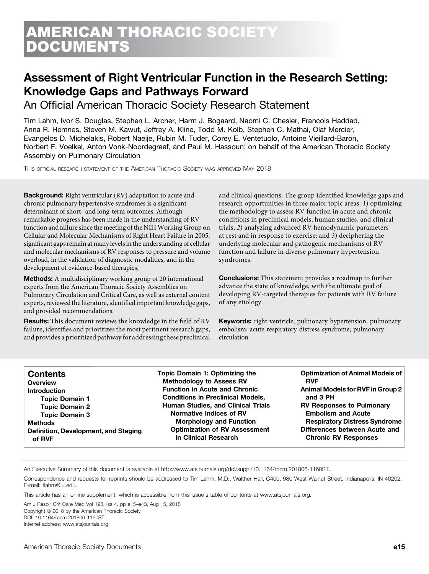# Assessment of Right Ventricular Function in the Research Setting: Knowledge Gaps and Pathways Forward

An Official American Thoracic Society Research Statement

Tim Lahm, Ivor S. Douglas, Stephen L. Archer, Harm J. Bogaard, Naomi C. Chesler, Francois Haddad, Anna R. Hemnes, Steven M. Kawut, Jeffrey A. Kline, Todd M. Kolb, Stephen C. Mathai, Olaf Mercier, Evangelos D. Michelakis, Robert Naeije, Rubin M. Tuder, Corey E. Ventetuolo, Antoine Vieillard-Baron, Norbert F. Voelkel, Anton Vonk-Noordegraaf, and Paul M. Hassoun; on behalf of the American Thoracic Society Assembly on Pulmonary Circulation

THIS OFFICIAL RESEARCH STATEMENT OF THE AMERICAN THORACIC SOCIETY WAS APPROVED MAY 2018

Background: Right ventricular (RV) adaptation to acute and chronic pulmonary hypertensive syndromes is a significant determinant of short- and long-term outcomes. Although remarkable progress has been made in the understanding of RV function and failure since the meeting of the NIH Working Group on Cellular and Molecular Mechanisms of Right Heart Failure in 2005, significant gaps remain at many levels in the understanding of cellular and molecular mechanisms of RV responses to pressure and volume overload, in the validation of diagnostic modalities, and in the development of evidence-based therapies.

Methods: A multidisciplinary working group of 20 international experts from the American Thoracic Society Assemblies on Pulmonary Circulation and Critical Care, as well as external content experts, reviewed the literature, identified important knowledge gaps, and provided recommendations.

Results: This document reviews the knowledge in the field of RV failure, identifies and prioritizes the most pertinent research gaps, and provides a prioritized pathway for addressing these preclinical

and clinical questions. The group identified knowledge gaps and research opportunities in three major topic areas: 1) optimizing the methodology to assess RV function in acute and chronic conditions in preclinical models, human studies, and clinical trials; 2) analyzing advanced RV hemodynamic parameters at rest and in response to exercise; and 3) deciphering the underlying molecular and pathogenic mechanisms of RV function and failure in diverse pulmonary hypertension syndromes.

**Conclusions:** This statement provides a roadmap to further advance the state of knowledge, with the ultimate goal of developing RV-targeted therapies for patients with RV failure of any etiology.

Keywords: right ventricle; pulmonary hypertension; pulmonary embolism; acute respiratory distress syndrome; pulmonary circulation

| <b>Contents</b>                                        | Topic Domain 1: Optimizing the<br><b>Methodology to Assess RV</b>              | <b>Optimization of Animal Models of</b><br><b>RVF</b>                 |
|--------------------------------------------------------|--------------------------------------------------------------------------------|-----------------------------------------------------------------------|
| <b>Overview</b><br><b>Introduction</b>                 | <b>Function in Acute and Chronic</b>                                           | Animal Models for RVF in Group 2                                      |
| <b>Topic Domain 1</b><br><b>Topic Domain 2</b>         | <b>Conditions in Preclinical Models,</b><br>Human Studies, and Clinical Trials | and 3 PH<br><b>RV Responses to Pulmonary</b>                          |
| <b>Topic Domain 3</b>                                  | Normative Indices of RV                                                        | <b>Embolism and Acute</b>                                             |
| <b>Methods</b><br>Definition, Development, and Staging | <b>Morphology and Function</b><br><b>Optimization of RV Assessment</b>         | <b>Respiratory Distress Syndrome</b><br>Differences between Acute and |
| of RVF                                                 | in Clinical Research                                                           | <b>Chronic RV Responses</b>                                           |

An Executive Summary of this document is available at<http://www.atsjournals.org/doi/suppl/10.1164/rccm.201806-1160ST>.

Correspondence and requests for reprints should be addressed to Tim Lahm, M.D., Walther Hall, C400, 980 West Walnut Street, Indianapolis, IN 46202. E-mail: [tlahm@iu.edu](mailto:tlahm@iu.edu).

This article has an online supplement, which is accessible from this issue's table of contents at [www.atsjournals.org.](http://www.atsjournals.org)

Am J Respir Crit Care Med Vol 198, Iss 4, pp e15–e43, Aug 15, 2018 Copyright © 2018 by the American Thoracic Society DOI: [10.1164/rccm.201806-1160ST](http://dx.doi.org/10.1164/rccm.201806-1160ST) Internet address: [www.atsjournals.org](http://www.atsjournals.org)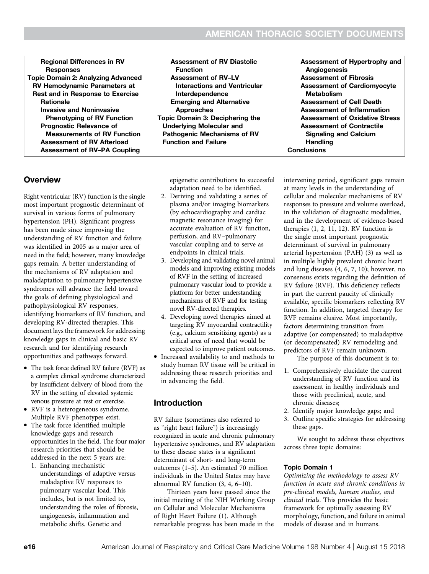| <b>Regional Differences in RV</b><br><b>Responses</b> |    |
|-------------------------------------------------------|----|
| <b>Topic Domain 2: Analyzing Advanced</b>             |    |
| <b>RV Hemodynamic Parameters at</b>                   |    |
| <b>Rest and in Response to Exercise</b>               |    |
| <b>Rationale</b>                                      |    |
| <b>Invasive and Noninvasive</b>                       |    |
| <b>Phenotyping of RV Function</b>                     | Го |
| <b>Prognostic Relevance of</b>                        |    |
| <b>Measurements of RV Function</b>                    |    |
| <b>Assessment of RV Afterload</b>                     |    |
| <b>Assessment of RV-PA Coupling</b>                   |    |

Assessment of RV Diastolic Function Assessment of RV–LV Interactions and Ventricular Interdependence Emerging and Alternative Approaches Topic Domain 3: Deciphering the Underlying Molecular and Pathogenic Mechanisms of RV Function and Failure

Assessment of Hypertrophy and Angiogenesis Assessment of Fibrosis Assessment of Cardiomyocyte Metabolism Assessment of Cell Death Assessment of Inflammation Assessment of Oxidative Stress Assessment of Contractile Signaling and Calcium Handling **Conclusions** 

# **Overview**

Right ventricular (RV) function is the single most important prognostic determinant of survival in various forms of pulmonary hypertension (PH). Significant progress has been made since improving the understanding of RV function and failure was identified in 2005 as a major area of need in the field; however, many knowledge gaps remain. A better understanding of the mechanisms of RV adaptation and maladaptation to pulmonary hypertensive syndromes will advance the field toward the goals of defining physiological and pathophysiological RV responses, identifying biomarkers of RV function, and developing RV-directed therapies. This document lays the framework for addressing knowledge gaps in clinical and basic RV research and for identifying research opportunities and pathways forward.

- The task force defined RV failure (RVF) as a complex clinical syndrome characterized by insufficient delivery of blood from the RV in the setting of elevated systemic venous pressure at rest or exercise.
- RVF is a heterogeneous syndrome. Multiple RVF phenotypes exist.
- The task force identified multiple knowledge gaps and research opportunities in the field. The four major research priorities that should be addressed in the next 5 years are:
	- 1. Enhancing mechanistic understandings of adaptive versus maladaptive RV responses to pulmonary vascular load. This includes, but is not limited to, understanding the roles of fibrosis, angiogenesis, inflammation and metabolic shifts. Genetic and

epigenetic contributions to successful adaptation need to be identified.

- 2. Deriving and validating a series of plasma and/or imaging biomarkers (by echocardiography and cardiac magnetic resonance imaging) for accurate evaluation of RV function, perfusion, and RV–pulmonary vascular coupling and to serve as endpoints in clinical trials.
- 3. Developing and validating novel animal models and improving existing models of RVF in the setting of increased pulmonary vascular load to provide a platform for better understanding mechanisms of RVF and for testing novel RV-directed therapies.
- 4. Developing novel therapies aimed at targeting RV myocardial contractility (e.g., calcium sensitizing agents) as a critical area of need that would be expected to improve patient outcomes.
- $\bullet$  Increased availability to and methods to study human RV tissue will be critical in addressing these research priorities and in advancing the field.

# Introduction

RV failure (sometimes also referred to as "right heart failure") is increasingly recognized in acute and chronic pulmonary hypertensive syndromes, and RV adaptation to these disease states is a significant determinant of short- and long-term outcomes (1–5). An estimated 70 million individuals in the United States may have abnormal RV function (3, 4, 6–10).

Thirteen years have passed since the initial meeting of the NIH Working Group on Cellular and Molecular Mechanisms of Right Heart Failure (1). Although remarkable progress has been made in the

intervening period, significant gaps remain at many levels in the understanding of cellular and molecular mechanisms of RV responses to pressure and volume overload, in the validation of diagnostic modalities, and in the development of evidence-based therapies  $(1, 2, 11, 12)$ . RV function is the single most important prognostic determinant of survival in pulmonary arterial hypertension (PAH) (3) as well as in multiple highly prevalent chronic heart and lung diseases (4, 6, 7, 10); however, no consensus exists regarding the definition of RV failure (RVF). This deficiency reflects in part the current paucity of clinically available, specific biomarkers reflecting RV function. In addition, targeted therapy for RVF remains elusive. Most importantly, factors determining transition from adaptive (or compensated) to maladaptive (or decompensated) RV remodeling and predictors of RVF remain unknown.

The purpose of this document is to:

- 1. Comprehensively elucidate the current understanding of RV function and its assessment in healthy individuals and those with preclinical, acute, and chronic diseases;
- 2. Identify major knowledge gaps; and
- 3. Outline specific strategies for addressing these gaps.

We sought to address these objectives across three topic domains:

# Topic Domain 1

Optimizing the methodology to assess RV function in acute and chronic conditions in pre-clinical models, human studies, and clinical trials. This provides the basic framework for optimally assessing RV morphology, function, and failure in animal models of disease and in humans.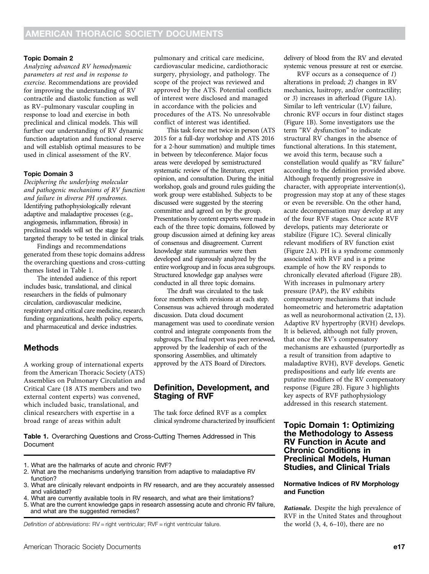# Topic Domain 2

Analyzing advanced RV hemodynamic parameters at rest and in response to exercise. Recommendations are provided for improving the understanding of RV contractile and diastolic function as well as RV–pulmonary vascular coupling in response to load and exercise in both preclinical and clinical models. This will further our understanding of RV dynamic function adaptation and functional reserve and will establish optimal measures to be used in clinical assessment of the RV.

# Topic Domain 3

Deciphering the underlying molecular and pathogenic mechanisms of RV function and failure in diverse PH syndromes. Identifying pathophysiologically relevant adaptive and maladaptive processes (e.g., angiogenesis, inflammation, fibrosis) in preclinical models will set the stage for targeted therapy to be tested in clinical trials.

Findings and recommendations generated from these topic domains address the overarching questions and cross-cutting themes listed in Table 1.

The intended audience of this report includes basic, translational, and clinical researchers in the fields of pulmonary circulation, cardiovascular medicine, respiratory and critical care medicine, research funding organizations, health policy experts, and pharmaceutical and device industries.

# Methods

A working group of international experts from the American Thoracic Society (ATS) Assemblies on Pulmonary Circulation and Critical Care (18 ATS members and two external content experts) was convened, which included basic, translational, and clinical researchers with expertise in a broad range of areas within adult

pulmonary and critical care medicine, cardiovascular medicine, cardiothoracic surgery, physiology, and pathology. The scope of the project was reviewed and approved by the ATS. Potential conflicts of interest were disclosed and managed in accordance with the policies and procedures of the ATS. No unresolvable conflict of interest was identified.

This task force met twice in person (ATS 2015 for a full-day workshop and ATS 2016 for a 2-hour summation) and multiple times in between by teleconference. Major focus areas were developed by semistructured systematic review of the literature, expert opinion, and consultation. During the initial workshop, goals and ground rules guiding the work group were established. Subjects to be discussed were suggested by the steering committee and agreed on by the group. Presentations by content experts were made in each of the three topic domains, followed by group discussion aimed at defining key areas of consensus and disagreement. Current knowledge state summaries were then developed and rigorously analyzed by the entire workgroup and in focus area subgroups. Structured knowledge gap analyses were conducted in all three topic domains.

The draft was circulated to the task force members with revisions at each step. Consensus was achieved through moderated discussion. Data cloud document management was used to coordinate version control and integrate components from the subgroups. The final report was peer reviewed, approved by the leadership of each of the sponsoring Assemblies, and ultimately approved by the ATS Board of Directors.

# Definition, Development, and Staging of RVF

The task force defined RVF as a complex clinical syndrome characterized by insufficient

Table 1. Overarching Questions and Cross-Cutting Themes Addressed in This Document

- 4. What are currently available tools in RV research, and what are their limitations?
- 5. What are the current knowledge gaps in research assessing acute and chronic RV failure, and what are the suggested remedies?

Definition of abbreviations: RV = right ventricular; RVF = right ventricular failure.

RVF occurs as a consequence of 1) alterations in preload; 2) changes in RV mechanics, lusitropy, and/or contractility; or 3) increases in afterload (Figure 1A). Similar to left ventricular (LV) failure, chronic RVF occurs in four distinct stages (Figure 1B). Some investigators use the term "RV dysfunction" to indicate structural RV changes in the absence of functional alterations. In this statement, we avoid this term, because such a constellation would qualify as "RV failure" according to the definition provided above. Although frequently progressive in character, with appropriate intervention(s), progression may stop at any of these stages or even be reversible. On the other hand, acute decompensation may develop at any of the four RVF stages. Once acute RVF develops, patients may deteriorate or stabilize (Figure 1C). Several clinically relevant modifiers of RV function exist (Figure 2A). PH is a syndrome commonly associated with RVF and is a prime example of how the RV responds to chronically elevated afterload (Figure 2B). With increases in pulmonary artery pressure (PAP), the RV exhibits compensatory mechanisms that include homeometric and heterometric adaptation as well as neurohormonal activation (2, 13). Adaptive RV hypertrophy (RVH) develops. It is believed, although not fully proven, that once the RV's compensatory mechanisms are exhausted (purportedly as a result of transition from adaptive to maladaptive RVH), RVF develops. Genetic predispositions and early life events are putative modifiers of the RV compensatory response (Figure 2B). Figure 3 highlights key aspects of RVF pathophysiology addressed in this research statement.

# Topic Domain 1: Optimizing the Methodology to Assess RV Function in Acute and Chronic Conditions in Preclinical Models, Human Studies, and Clinical Trials

# Normative Indices of RV Morphology and Function

Rationale. Despite the high prevalence of RVF in the United States and throughout the world  $(3, 4, 6-10)$ , there are no

<sup>1.</sup> What are the hallmarks of acute and chronic RVF?

<sup>2.</sup> What are the mechanisms underlying transition from adaptive to maladaptive RV function?

<sup>3.</sup> What are clinically relevant endpoints in RV research, and are they accurately assessed and validated?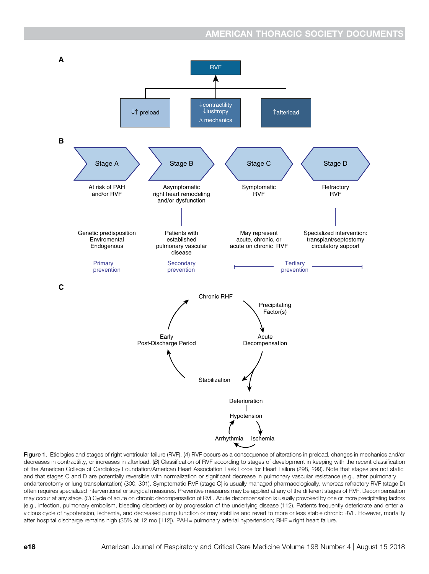# AMERICAN THORACIC SOCIETY DOCUMENTS



Figure 1. Etiologies and stages of right ventricular failure (RVF). (A) RVF occurs as a consequence of alterations in preload, changes in mechanics and/or decreases in contractility, or increases in afterload. (B) Classification of RVF according to stages of development in keeping with the recent classification of the American College of Cardiology Foundation/American Heart Association Task Force for Heart Failure (298, 299). Note that stages are not static and that stages C and D are potentially reversible with normalization or significant decrease in pulmonary vascular resistance (e.g., after pulmonary endarterectomy or lung transplantation) (300, 301). Symptomatic RVF (stage C) is usually managed pharmacologically, whereas refractory RVF (stage D) often requires specialized interventional or surgical measures. Preventive measures may be applied at any of the different stages of RVF. Decompensation may occur at any stage. (C) Cycle of acute on chronic decompensation of RVF. Acute decompensation is usually provoked by one or more precipitating factors (e.g., infection, pulmonary embolism, bleeding disorders) or by progression of the underlying disease (112). Patients frequently deteriorate and enter a vicious cycle of hypotension, ischemia, and decreased pump function or may stabilize and revert to more or less stable chronic RVF. However, mortality after hospital discharge remains high (35% at 12 mo [112]). PAH = pulmonary arterial hypertension; RHF = right heart failure.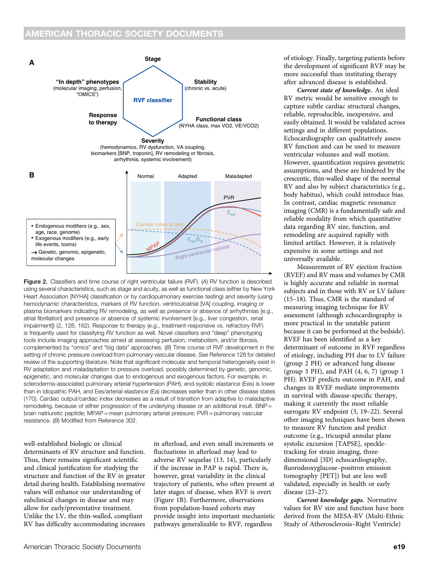# AMERICAN THORACIC SOCIETY DOCUMENTS



Figure 2. Classifiers and time course of right ventricular failure (RVF). (A) RV function is described using several characteristics, such as stage and acuity, as well as functional class (either by New York Heart Association [NYHA] classification or by cardiopulmonary exercise testing) and severity (using hemodynamic characteristics, markers of RV function, ventriculoatrial [VA] coupling, imaging or plasma biomarkers indicating RV remodeling, as well as presence or absence of arrhythmias [e.g., atrial fibrillation] and presence or absence of systemic involvement [e.g., liver congestion, renal impairment]) (2, 128, 162). Response to therapy (e.g., treatment-responsive vs. refractory RVF) is frequently used for classifying RV function as well. Novel classifiers and "deep" phenotyping tools include imaging approaches aimed at assessing perfusion, metabolism, and/or fibrosis, complemented by "omics" and "big data" approaches. (B) Time course of RVF development in the setting of chronic pressure overload from pulmonary vascular disease. See Reference 128 for detailed review of the supporting literature. Note that significant molecular and temporal heterogeneity exist in RV adaptation and maladaptation to pressure overload, possibly determined by genetic, genomic, epigenetic, and molecular changes due to endogenous and exogenous factors. For example, in scleroderma-associated pulmonary arterial hypertension (PAH), end-systolic elastance (Ees) is lower than in idiopathic PAH, and Ees/arterial elastance (Ea) decreases earlier than in other disease states (170). Cardiac output/cardiac index decreases as a result of transition from adaptive to maladaptive remodeling, because of either progression of the underlying disease or an additional insult. BNP = brain natriuretic peptide; MPAP = mean pulmonary arterial pressure; PVR = pulmonary vascular resistance. (B) Modified from Reference 302.

well-established biologic or clinical determinants of RV structure and function. Thus, there remains significant scientific and clinical justification for studying the structure and function of the RV in greater detail during health. Establishing normative values will enhance our understanding of subclinical changes in disease and may allow for early/preventative treatment. Unlike the LV, the thin-walled, compliant RV has difficulty accommodating increases in afterload, and even small increments or fluctuations in afterload may lead to adverse RV sequelae (13, 14), particularly if the increase in PAP is rapid. There is, however, great variability in the clinical trajectory of patients, who often present at later stages of disease, when RVF is overt (Figure 1B). Furthermore, observations from population-based cohorts may provide insight into important mechanistic pathways generalizable to RVF, regardless

of etiology. Finally, targeting patients before the development of significant RVF may be more successful than instituting therapy after advanced disease is established.

Current state of knowledge. An ideal RV metric would be sensitive enough to capture subtle cardiac structural changes, reliable, reproducible, inexpensive, and easily obtained. It would be validated across settings and in different populations. Echocardiography can qualitatively assess RV function and can be used to measure ventricular volumes and wall motion. However, quantification requires geometric assumptions, and these are hindered by the crescentic, thin-walled shape of the normal RV and also by subject characteristics (e.g., body habitus), which could introduce bias. In contrast, cardiac magnetic resonance imaging (CMR) is a fundamentally safe and reliable modality from which quantitative data regarding RV size, function, and remodeling are acquired rapidly with limited artifact. However, it is relatively expensive in some settings and not universally available.

Measurement of RV ejection fraction (RVEF) and RV mass and volumes by CMR is highly accurate and reliable in normal subjects and in those with RV or LV failure (15–18). Thus, CMR is the standard of measuring imaging technique for RV assessment (although echocardiography is more practical in the unstable patient because it can be performed at the bedside). RVEF has been identified as a key determinant of outcome in RVF regardless of etiology, including PH due to LV failure (group 2 PH) or advanced lung disease (group 3 PH), and PAH (4, 6, 7) (group 1 PH). RVEF predicts outcome in PAH, and changes in RVEF mediate improvements in survival with disease-specific therapy, making it currently the most reliable surrogate RV endpoint (3, 19–22). Several other imaging techniques have been shown to measure RV function and predict outcome (e.g., tricuspid annular plane systolic excursion [TAPSE], speckletracking for strain imaging, threedimensional [3D] echocardiography, fluorodeoxyglucose–positron emission tomography [PET]) but are less well validated, especially in health or early disease (23–27).

Current knowledge gaps. Normative values for RV size and function have been derived from the MESA-RV (Multi-Ethnic Study of Atherosclerosis–Right Ventricle)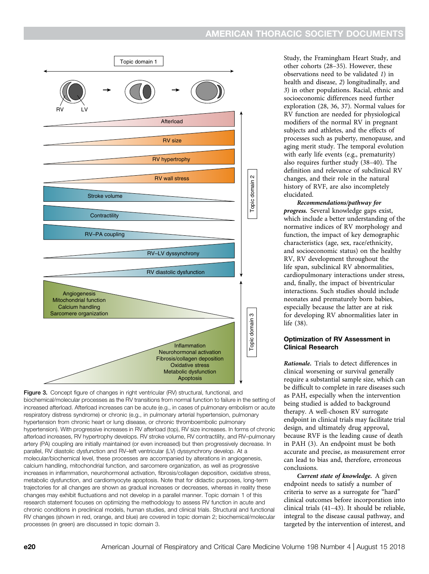

Figure 3. Concept figure of changes in right ventricular (RV) structural, functional, and biochemical/molecular processes as the RV transitions from normal function to failure in the setting of increased afterload. Afterload increases can be acute (e.g., in cases of pulmonary embolism or acute respiratory distress syndrome) or chronic (e.g., in pulmonary arterial hypertension, pulmonary hypertension from chronic heart or lung disease, or chronic thromboembolic pulmonary hypertension). With progressive increases in RV afterload (top), RV size increases. In forms of chronic afterload increases, RV hypertrophy develops. RV stroke volume, RV contractility, and RV–pulmonary artery (PA) coupling are initially maintained (or even increased) but then progressively decrease. In parallel, RV diastolic dysfunction and RV–left ventricular (LV) dyssynchrony develop. At a molecular/biochemical level, these processes are accompanied by alterations in angiogenesis, calcium handling, mitochondrial function, and sarcomere organization, as well as progressive increases in inflammation, neurohormonal activation, fibrosis/collagen deposition, oxidative stress, metabolic dysfunction, and cardiomyocyte apoptosis. Note that for didactic purposes, long-term trajectories for all changes are shown as gradual increases or decreases, whereas in reality these changes may exhibit fluctuations and not develop in a parallel manner. Topic domain 1 of this research statement focuses on optimizing the methodology to assess RV function in acute and chronic conditions in preclinical models, human studies, and clinical trials. Structural and functional RV changes (shown in red, orange, and blue) are covered in topic domain 2; biochemical/molecular processes (in green) are discussed in topic domain 3.

Study, the Framingham Heart Study, and other cohorts (28–35). However, these observations need to be validated 1) in health and disease, 2) longitudinally, and 3) in other populations. Racial, ethnic and socioeconomic differences need further exploration (28, 36, 37). Normal values for RV function are needed for physiological modifiers of the normal RV in pregnant subjects and athletes, and the effects of processes such as puberty, menopause, and aging merit study. The temporal evolution with early life events (e.g., prematurity) also requires further study (38–40). The definition and relevance of subclinical RV changes, and their role in the natural history of RVF, are also incompletely elucidated.

Recommendations/pathway for progress. Several knowledge gaps exist, which include a better understanding of the normative indices of RV morphology and function, the impact of key demographic characteristics (age, sex, race/ethnicity, and socioeconomic status) on the healthy RV, RV development throughout the life span, subclinical RV abnormalities, cardiopulmonary interactions under stress, and, finally, the impact of biventricular interactions. Such studies should include neonates and prematurely born babies, especially because the latter are at risk for developing RV abnormalities later in life (38).

# Optimization of RV Assessment in Clinical Research

Rationale. Trials to detect differences in clinical worsening or survival generally require a substantial sample size, which can be difficult to complete in rare diseases such as PAH, especially when the intervention being studied is added to background therapy. A well-chosen RV surrogate endpoint in clinical trials may facilitate trial design, and ultimately drug approval, because RVF is the leading cause of death in PAH (3). An endpoint must be both accurate and precise, as measurement error can lead to bias and, therefore, erroneous conclusions.

Current state of knowledge. A given endpoint needs to satisfy a number of criteria to serve as a surrogate for "hard" clinical outcomes before incorporation into clinical trials (41–43). It should be reliable, integral to the disease causal pathway, and targeted by the intervention of interest, and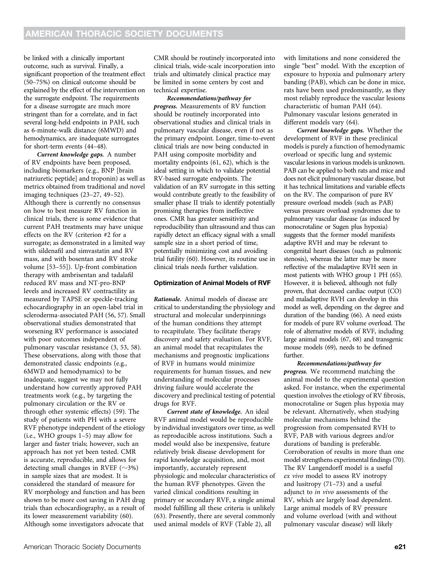be linked with a clinically important outcome, such as survival. Finally, a significant proportion of the treatment effect (50–75%) on clinical outcome should be explained by the effect of the intervention on the surrogate endpoint. The requirements for a disease surrogate are much more stringent than for a correlate, and in fact several long-held endpoints in PAH, such as 6-minute-walk distance (6MWD) and hemodynamics, are inadequate surrogates for short-term events (44–48).

Current knowledge gaps. A number of RV endpoints have been proposed, including biomarkers (e.g., BNP [brain natriuretic peptide] and troponin) as well as metrics obtained from traditional and novel imaging techniques (23–27, 49–52). Although there is currently no consensus on how to best measure RV function in clinical trials, there is some evidence that current PAH treatments may have unique effects on the RV (criterion #2 for a surrogate; as demonstrated in a limited way with sildenafil and simvastatin and RV mass, and with bosentan and RV stroke volume [53–55]). Up-front combination therapy with ambrisentan and tadalafil reduced RV mass and NT-pro-BNP levels and increased RV contractility as measured by TAPSE or speckle-tracking echocardiography in an open-label trial in scleroderma-associated PAH (56, 57). Small observational studies demonstrated that worsening RV performance is associated with poor outcomes independent of pulmonary vascular resistance (3, 53, 58). These observations, along with those that demonstrated classic endpoints (e.g., 6MWD and hemodynamics) to be inadequate, suggest we may not fully understand how currently approved PAH treatments work (e.g., by targeting the pulmonary circulation or the RV or through other systemic effects) (59). The study of patients with PH with a severe RVF phenotype independent of the etiology (i.e., WHO groups 1–5) may allow for larger and faster trials; however, such an approach has not yet been tested. CMR is accurate, reproducible, and allows for detecting small changes in RVEF  $(\sim 3\%)$ in sample sizes that are modest. It is considered the standard of measure for RV morphology and function and has been shown to be more cost saving in PAH drug trials than echocardiography, as a result of its lower measurement variability (60). Although some investigators advocate that

CMR should be routinely incorporated into clinical trials, wide-scale incorporation into trials and ultimately clinical practice may be limited in some centers by cost and technical expertise.

Recommendations/pathway for progress. Measurements of RV function should be routinely incorporated into observational studies and clinical trials in pulmonary vascular disease, even if not as the primary endpoint. Longer, time-to-event clinical trials are now being conducted in PAH using composite morbidity and mortality endpoints (61, 62), which is the ideal setting in which to validate potential RV-based surrogate endpoints. The validation of an RV surrogate in this setting would contribute greatly to the feasibility of smaller phase II trials to identify potentially promising therapies from ineffective ones. CMR has greater sensitivity and reproducibility than ultrasound and thus can rapidly detect an efficacy signal with a small sample size in a short period of time, potentially minimizing cost and avoiding trial futility (60). However, its routine use in clinical trials needs further validation.

### Optimization of Animal Models of RVF

Rationale. Animal models of disease are critical to understanding the physiology and structural and molecular underpinnings of the human conditions they attempt to recapitulate. They facilitate therapy discovery and safety evaluation. For RVF, an animal model that recapitulates the mechanisms and prognostic implications of RVF in humans would minimize requirements for human tissues, and new understanding of molecular processes driving failure would accelerate the discovery and preclinical testing of potential drugs for RVF.

Current state of knowledge. An ideal RVF animal model would be reproducible by individual investigators over time, as well as reproducible across institutions. Such a model would also be inexpensive, feature relatively brisk disease development for rapid knowledge acquisition, and, most importantly, accurately represent physiologic and molecular characteristics of the human RVF phenotypes. Given the varied clinical conditions resulting in primary or secondary RVF, a single animal model fulfilling all these criteria is unlikely (63). Presently, there are several commonly used animal models of RVF (Table 2), all

with limitations and none considered the single "best" model. With the exception of exposure to hypoxia and pulmonary artery banding (PAB), which can be done in mice, rats have been used predominantly, as they most reliably reproduce the vascular lesions characteristic of human PAH (64). Pulmonary vascular lesions generated in different models vary (64).

Current knowledge gaps. Whether the development of RVF in these preclinical models is purely a function of hemodynamic overload or specific lung and systemic vascular lesions in various models is unknown. PAB can be applied to both rats and mice and does not elicit pulmonary vascular disease, but it has technical limitations and variable effects on the RV. The comparison of pure RV pressure overload models (such as PAB) versus pressure overload syndromes due to pulmonary vascular disease (as induced by monocrotaline or Sugen plus hypoxia) suggests that the former model manifests adaptive RVH and may be relevant to congenital heart diseases (such as pulmonic stenosis), whereas the latter may be more reflective of the maladaptive RVH seen in most patients with WHO group 1 PH (65). However, it is believed, although not fully proven, that decreased cardiac output (CO) and maladaptive RVH can develop in this model as well, depending on the degree and duration of the banding (66). A need exists for models of pure RV volume overload. The role of alternative models of RVF, including large animal models (67, 68) and transgenic mouse models (69), needs to be defined further.

Recommendations/pathway for progress. We recommend matching the animal model to the experimental question asked. For instance, when the experimental question involves the etiology of RV fibrosis, monocrotaline or Sugen plus hypoxia may be relevant. Alternatively, when studying molecular mechanisms behind the progression from compensated RVH to RVF, PAB with various degrees and/or durations of banding is preferable. Corroboration of results in more than one model strengthens experimental findings (70). The RV Langendorff model is a useful ex vivo model to assess RV inotropy and lusitropy (71–73) and a useful adjunct to *in vivo* assessments of the RV, which are largely load dependent. Large animal models of RV pressure and volume overload (with and without pulmonary vascular disease) will likely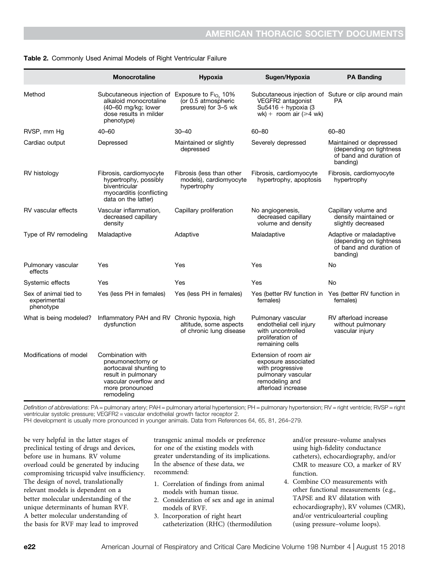|                                                    | <b>Monocrotaline</b>                                                                                                                                 | Hypoxia                                                            | Sugen/Hypoxia                                                                                                                  | <b>PA Banding</b>                                                                         |
|----------------------------------------------------|------------------------------------------------------------------------------------------------------------------------------------------------------|--------------------------------------------------------------------|--------------------------------------------------------------------------------------------------------------------------------|-------------------------------------------------------------------------------------------|
| Method                                             | Subcutaneous injection of Exposure to F <sub>lo</sub> , 10%<br>alkaloid monocrotaline<br>(40-60 mg/kg; lower<br>dose results in milder<br>phenotype) | (or 0.5 atmospheric<br>pressure) for 3-5 wk                        | VEGFR2 antagonist<br>$Su5416 + hypoxia (3)$<br>wk) + room air ( $\geq 4$ wk)                                                   | Subcutaneous injection of Suture or clip around main<br><b>PA</b>                         |
| RVSP, mm Hg                                        | $40 - 60$                                                                                                                                            | $30 - 40$                                                          | $60 - 80$                                                                                                                      | $60 - 80$                                                                                 |
| Cardiac output                                     | Depressed                                                                                                                                            | Maintained or slightly<br>depressed                                | Severely depressed                                                                                                             | Maintained or depressed<br>(depending on tightness<br>of band and duration of<br>banding) |
| RV histology                                       | Fibrosis, cardiomyocyte<br>hypertrophy, possibly<br>biventricular<br>myocarditis (conflicting<br>data on the latter)                                 | Fibrosis (less than other<br>models), cardiomyocyte<br>hypertrophy | Fibrosis, cardiomyocyte<br>hypertrophy, apoptosis                                                                              | Fibrosis, cardiomyocyte<br>hypertrophy                                                    |
| RV vascular effects                                | Vascular inflammation,<br>decreased capillary<br>density                                                                                             | Capillary proliferation                                            | No angiogenesis,<br>decreased capillary<br>volume and density                                                                  | Capillary volume and<br>density maintained or<br>slightly decreased                       |
| Type of RV remodeling                              | Maladaptive                                                                                                                                          | Adaptive                                                           | Maladaptive                                                                                                                    | Adaptive or maladaptive<br>(depending on tightness<br>of band and duration of<br>banding) |
| Pulmonary vascular<br>effects                      | Yes                                                                                                                                                  | Yes                                                                | Yes                                                                                                                            | No                                                                                        |
| Systemic effects                                   | Yes                                                                                                                                                  | Yes                                                                | Yes                                                                                                                            | No                                                                                        |
| Sex of animal tied to<br>experimental<br>phenotype | Yes (less PH in females)                                                                                                                             | Yes (less PH in females)                                           | Yes (better RV function in Yes (better RV function in<br>females)                                                              | females)                                                                                  |
| What is being modeled?                             | Inflammatory PAH and RV Chronic hypoxia, high<br>dysfunction                                                                                         | altitude, some aspects<br>of chronic lung disease                  | Pulmonary vascular<br>endothelial cell injury<br>with uncontrolled<br>proliferation of<br>remaining cells                      | RV afterload increase<br>without pulmonary<br>vascular injury                             |
| Modifications of model                             | Combination with<br>pneumonectomy or<br>aortocaval shunting to<br>result in pulmonary<br>vascular overflow and<br>more pronounced<br>remodeling      |                                                                    | Extension of room air<br>exposure associated<br>with progressive<br>pulmonary vascular<br>remodeling and<br>afterload increase |                                                                                           |

### Table 2. Commonly Used Animal Models of Right Ventricular Failure

Definition of abbreviations: PA = pulmonary artery; PAH = pulmonary arterial hypertension; PH = pulmonary hypertension; RV = right ventricle; RVSP = right ventricular systolic pressure; VEGFR2 = vascular endothelial growth factor receptor 2.

PH development is usually more pronounced in younger animals. Data from References 64, 65, 81, 264–279.

be very helpful in the latter stages of preclinical testing of drugs and devices, before use in humans. RV volume overload could be generated by inducing compromising tricuspid valve insufficiency. The design of novel, translationally relevant models is dependent on a better molecular understanding of the unique determinants of human RVF. A better molecular understanding of the basis for RVF may lead to improved

transgenic animal models or preference for one of the existing models with greater understanding of its implications. In the absence of these data, we recommend:

- 1. Correlation of findings from animal models with human tissue.
- 2. Consideration of sex and age in animal models of RVF.
- 3. Incorporation of right heart catheterization (RHC) (thermodilution

and/or pressure–volume analyses using high-fidelity conductance catheters), echocardiography, and/or CMR to measure CO, a marker of RV function.

4. Combine CO measurements with other functional measurements (e.g., TAPSE and RV dilatation with echocardiography), RV volumes (CMR), and/or ventriculoarterial coupling (using pressure–volume loops).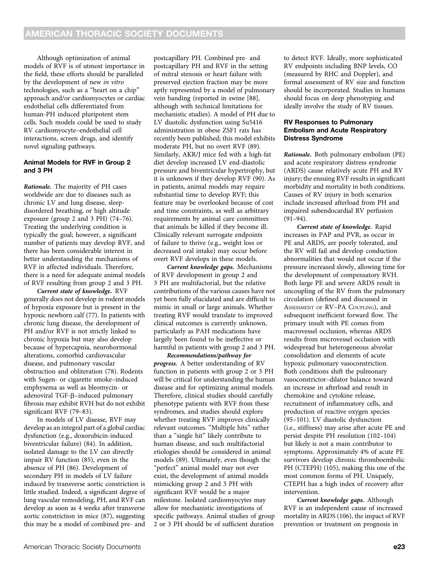Although optimization of animal models of RVF is of utmost importance in the field, these efforts should be paralleled by the development of new in vitro technologies, such as a "heart on a chip" approach and/or cardiomyocytes or cardiac endothelial cells differentiated from human-PH induced pluripotent stem cells. Such models could be used to study RV cardiomyocyte–endothelial cell interactions, screen drugs, and identify novel signaling pathways.

### Animal Models for RVF in Group 2 and 3 PH

Rationale. The majority of PH cases worldwide are due to diseases such as chronic LV and lung disease, sleepdisordered breathing, or high altitude exposure (group 2 and 3 PH) (74–76). Treating the underlying condition is typically the goal; however, a significant number of patients may develop RVF, and there has been considerable interest in better understanding the mechanisms of RVF in affected individuals. Therefore, there is a need for adequate animal models of RVF resulting from group 2 and 3 PH.

Current state of knowledge. RVF generally does not develop in rodent models of hypoxia exposure but is present in the hypoxic newborn calf (77). In patients with chronic lung disease, the development of PH and/or RVF is not strictly linked to chronic hypoxia but may also develop because of hypercapnia, neurohormonal alterations, comorbid cardiovascular disease, and pulmonary vascular obstruction and obliteration (78). Rodents with Sugen- or cigarette smoke–induced emphysema as well as bleomycin- or adenoviral TGF-b–induced pulmonary fibrosis may exhibit RVH but do not exhibit significant RVF (79–83).

In models of LV disease, RVF may develop as an integral part of a global cardiac dysfunction (e.g., doxorubicin-induced biventricular failure) (84). In addition, isolated damage to the LV can directly impair RV function (85), even in the absence of PH (86). Development of secondary PH in models of LV failure induced by transverse aortic constriction is little studied. Indeed, a significant degree of lung vascular remodeling, PH, and RVF can develop as soon as 4 weeks after transverse aortic constriction in mice (87), suggesting this may be a model of combined pre- and

postcapillary PH. Combined pre- and postcapillary PH and RVF in the setting of mitral stenosis or heart failure with preserved ejection fraction may be more aptly represented by a model of pulmonary vein banding (reported in swine [88], although with technical limitations for mechanistic studies). A model of PH due to LV diastolic dysfunction using Su5416 administration in obese ZSF1 rats has recently been published; this model exhibits moderate PH, but no overt RVF (89). Similarly, AKR/J mice fed with a high-fat diet develop increased LV end-diastolic pressure and biventricular hypertrophy, but it is unknown if they develop RVF (90). As in patients, animal models may require substantial time to develop RVF; this feature may be overlooked because of cost and time constraints, as well as arbitrary requirements by animal care committees that animals be killed if they become ill. Clinically relevant surrogate endpoints of failure to thrive (e.g., weight loss or decreased oral intake) may occur before overt RVF develops in these models.

Current knowledge gaps. Mechanisms of RVF development in group 2 and 3 PH are multifactorial, but the relative contributions of the various causes have not yet been fully elucidated and are difficult to mimic in small or large animals. Whether treating RVF would translate to improved clinical outcomes is currently unknown, particularly as PAH medications have largely been found to be ineffective or harmful in patients with group 2 and 3 PH.

Recommendations/pathway for progress. A better understanding of RV function in patients with group 2 or 3 PH will be critical for understanding the human disease and for optimizing animal models. Therefore, clinical studies should carefully phenotype patients with RVF from these syndromes, and studies should explore whether treating RVF improves clinically relevant outcomes. "Multiple hits" rather than a "single hit" likely contribute to human disease, and such multifactorial etiologies should be considered in animal models (89). Ultimately, even though the "perfect" animal model may not ever exist, the development of animal models mimicking group 2 and 3 PH with significant RVF would be a major milestone. Isolated cardiomyocytes may allow for mechanistic investigations of specific pathways. Animal studies of group 2 or 3 PH should be of sufficient duration

to detect RVF. Ideally, more sophisticated RV endpoints including BNP levels, CO (measured by RHC and Doppler), and formal assessment of RV size and function should be incorporated. Studies in humans should focus on deep phenotyping and ideally involve the study of RV tissues.

### RV Responses to Pulmonary Embolism and Acute Respiratory Distress Syndrome

Rationale. Both pulmonary embolism (PE) and acute respiratory distress syndrome (ARDS) cause relatively acute PH and RV injury; the ensuing RVF results in significant morbidity and mortality in both conditions. Causes of RV injury in both scenarios include increased afterload from PH and impaired subendocardial RV perfusion (91–94).

Current state of knowledge. Rapid increases in PAP and PVR, as occur in PE and ARDS, are poorly tolerated, and the RV will fail and develop conduction abnormalities that would not occur if the pressure increased slowly, allowing time for the development of compensatory RVH. Both large PE and severe ARDS result in uncoupling of the RV from the pulmonary circulation (defined and discussed in ASSESSMENT OF RV–PA COUPLING), and subsequent inefficient forward flow. The primary insult with PE comes from macrovessel occlusion, whereas ARDS results from microvessel occlusion with widespread but heterogeneous alveolar consolidation and elements of acute hypoxic pulmonary vasoconstriction. Both conditions shift the pulmonary vasoconstrictor–dilator balance toward an increase in afterload and result in chemokine and cytokine release, recruitment of inflammatory cells, and production of reactive oxygen species (95–101). LV diastolic dysfunction (i.e., stiffness) may arise after acute PE and persist despite PH resolution (102–104) but likely is not a main contributor to symptoms. Approximately 4% of acute PE survivors develop chronic thromboembolic PH (CTEPH) (105), making this one of the most common forms of PH. Uniquely, CTEPH has a high index of recovery after intervention.

Current knowledge gaps. Although RVF is an independent cause of increased mortality in ARDS (106), the impact of RVF prevention or treatment on prognosis in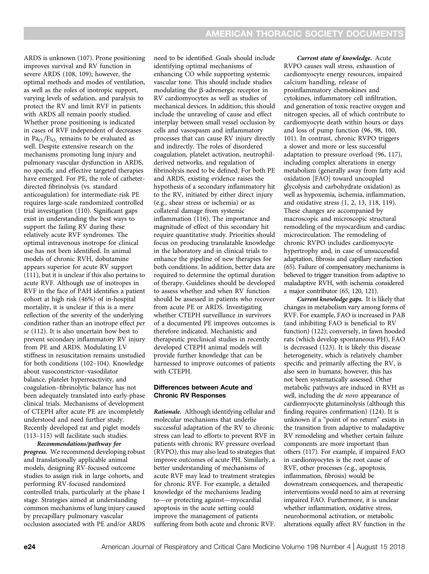ARDS is unknown (107). Prone positioning improves survival and RV function in severe ARDS (108, 109); however, the optimal methods and modes of ventilation, as well as the roles of inotropic support, varying levels of sedation, and paralysis to protect the RV and limit RVF in patients with ARDS all remain poorly studied. Whether prone positioning is indicated in cases of RVF independent of decreases in  $\text{Pa}_{\text{O}_2}/\text{Fi}_{\text{O}_2}$  remains to be evaluated as well. Despite extensive research on the mechanisms promoting lung injury and pulmonary vascular dysfunction in ARDS, no specific and effective targeted therapies have emerged. For PE, the role of catheterdirected fibrinolysis (vs. standard anticoagulation) for intermediate-risk PE requires large-scale randomized controlled trial investigation (110). Significant gaps exist in understanding the best ways to support the failing RV during these relatively acute RVF syndromes. The optimal intravenous inotrope for clinical use has not been identified. In animal models of chronic RVH, dobutamine appears superior for acute RV support (111), but it is unclear if this also pertains to acute RVF. Although use of inotropes in RVF in the face of PAH identifies a patient cohort at high risk (46%) of in-hospital mortality, it is unclear if this is a mere reflection of the severity of the underlying condition rather than an inotrope effect per se (112). It is also uncertain how best to prevent secondary inflammatory RV injury from PE and ARDS. Modulating LV stiffness in resuscitation remains unstudied for both conditions (102–104). Knowledge about vasoconstrictor–vasodilator balance, platelet hyperreactivity, and coagulation–fibrinolytic balance has not been adequately translated into early-phase clinical trials. Mechanisms of development of CTEPH after acute PE are incompletely understood and need further study. Recently developed rat and piglet models (113–115) will facilitate such studies.

Recommendations/pathway for progress. We recommend developing robust and translationally applicable animal models, designing RV-focused outcome studies to assign risk in large cohorts, and performing RV-focused randomized controlled trials, particularly at the phase I stage. Strategies aimed at understanding common mechanisms of lung injury caused by precapillary pulmonary vascular occlusion associated with PE and/or ARDS

need to be identified. Goals should include identifying optimal mechanisms of enhancing CO while supporting systemic vascular tone. This should include studies modulating the  $\beta$ -adrenergic receptor in RV cardiomyocytes as well as studies of mechanical devices. In addition, this should include the unraveling of cause and effect interplay between small vessel occlusion by cells and vasospasm and inflammatory processes that can cause RV injury directly and indirectly. The roles of disordered coagulation, platelet activation, neutrophilderived networks, and regulation of fibrinolysis need to be defined. For both PE and ARDS, existing evidence raises the hypothesis of a secondary inflammatory hit to the RV, initiated by either direct injury (e.g., shear stress or ischemia) or as collateral damage from systemic inflammation (116). The importance and magnitude of effect of this secondary hit require quantitative study. Priorities should focus on producing translatable knowledge in the laboratory and in clinical trials to enhance the pipeline of new therapies for both conditions. In addition, better data are required to determine the optimal duration of therapy. Guidelines should be developed to assess whether and when RV function should be assessed in patients who recover from acute PE or ARDS. Investigating whether CTEPH surveillance in survivors of a documented PE improves outcomes is therefore indicated. Mechanistic and therapeutic preclinical studies in recently developed CTEPH animal models will provide further knowledge that can be harnessed to improve outcomes of patients with CTEPH.

# Differences between Acute and Chronic RV Responses

Rationale. Although identifying cellular and molecular mechanisms that underlie successful adaptation of the RV to chronic stress can lead to efforts to prevent RVF in patients with chronic RV pressure overload (RVPO), this may also lead to strategies that improve outcomes of acute PH. Similarly, a better understanding of mechanisms of acute RVF may lead to treatment strategies for chronic RVF. For example, a detailed knowledge of the mechanisms leading to—or protecting against—myocardial apoptosis in the acute setting could improve the management of patients suffering from both acute and chronic RVF.

Current state of knowledge. Acute RVPO causes wall stress, exhaustion of cardiomyocyte energy resources, impaired calcium handling, release of proinflammatory chemokines and cytokines, inflammatory cell infiltration, and generation of toxic reactive oxygen and nitrogen species, all of which contribute to cardiomyocyte death within hours or days and loss of pump function (96, 98, 100, 101). In contrast, chronic RVPO triggers a slower and more or less successful adaptation to pressure overload (96, 117), including complex alterations in energy metabolism (generally away from fatty acid oxidation [FAO] toward uncoupled glycolysis and carbohydrate oxidation) as well as hypoxemia, ischemia, inflammation, and oxidative stress (1, 2, 13, 118, 119). These changes are accompanied by macroscopic and microscopic structural remodeling of the myocardium and cardiac microcirculation. The remodeling of chronic RVPO includes cardiomyocyte hypertrophy and, in case of unsuccessful adaptation, fibrosis and capillary rarefaction (65). Failure of compensatory mechanisms is believed to trigger transition from adaptive to maladaptive RVH, with ischemia considered a major contributor (65, 120, 121).

Current knowledge gaps. It is likely that changes in metabolism vary among forms of RVF. For example, FAO is increased in PAB (and inhibiting FAO is beneficial to RV function) (122); conversely, in fawn hooded rats (which develop spontaneous PH), FAO is decreased (123). It is likely this disease heterogeneity, which is relatively chamber specific and primarily affecting the RV, is also seen in humans; however, this has not been systematically assessed. Other metabolic pathways are induced in RVH as well, including the de novo appearance of cardiomyocyte glutaminolysis (although this finding requires confirmation) (124). It is unknown if a "point of no return" exists in the transition from adaptive to maladaptive RV remodeling and whether certain failure components are more important than others (117). For example, if impaired FAO in cardiomyocytes is the root cause of RVF, other processes (e.g., apoptosis, inflammation, fibrosis) would be downstream consequences, and therapeutic interventions would need to aim at reversing impaired FAO. Furthermore, it is unclear whether inflammation, oxidative stress, neurohormonal activation, or metabolic alterations equally affect RV function in the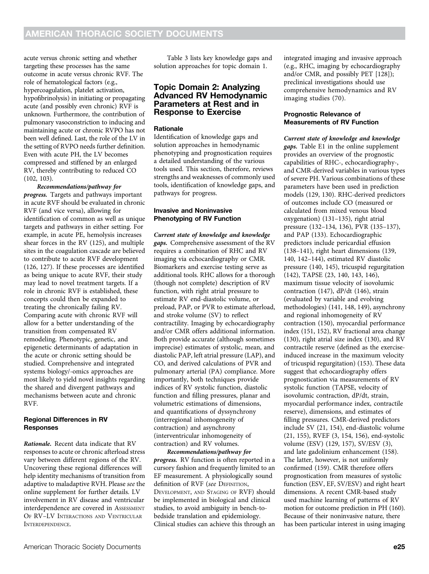acute versus chronic setting and whether targeting these processes has the same outcome in acute versus chronic RVF. The role of hematological factors (e.g., hypercoagulation, platelet activation, hypofibrinolysis) in initiating or propagating acute (and possibly even chronic) RVF is unknown. Furthermore, the contribution of pulmonary vasoconstriction to inducing and maintaining acute or chronic RVPO has not been well defined. Last, the role of the LV in the setting of RVPO needs further definition. Even with acute PH, the LV becomes compressed and stiffened by an enlarged RV, thereby contributing to reduced CO (102, 103).

Recommendations/pathway for progress. Targets and pathways important in acute RVF should be evaluated in chronic RVF (and vice versa), allowing for identification of common as well as unique targets and pathways in either setting. For example, in acute PE, hemolysis increases shear forces in the RV (125), and multiple sites in the coagulation cascade are believed to contribute to acute RVF development (126, 127). If these processes are identified as being unique to acute RVF, their study may lead to novel treatment targets. If a role in chronic RVF is established, these concepts could then be expanded to treating the chronically failing RV. Comparing acute with chronic RVF will allow for a better understanding of the transition from compensated RV remodeling. Phenotypic, genetic, and epigenetic determinants of adaptation in the acute or chronic setting should be studied. Comprehensive and integrated systems biology/-omics approaches are most likely to yield novel insights regarding the shared and divergent pathways and mechanisms between acute and chronic RVF.

# Regional Differences in RV Responses

Rationale. Recent data indicate that RV responses to acute or chronic afterload stress vary between different regions of the RV. Uncovering these regional differences will help identity mechanisms of transition from adaptive to maladaptive RVH. Please see the online supplement for further details. LV involvement in RV disease and ventricular interdependence are covered in ASSESSMENT OF RV–LV INTERACTIONS AND VENTRICULAR **INTERDEPENDENCE** 

Table 3 lists key knowledge gaps and solution approaches for topic domain 1.

# Topic Domain 2: Analyzing Advanced RV Hemodynamic Parameters at Rest and in Response to Exercise

# **Rationale**

Identification of knowledge gaps and solution approaches in hemodynamic phenotyping and prognostication requires a detailed understanding of the various tools used. This section, therefore, reviews strengths and weaknesses of commonly used tools, identification of knowledge gaps, and pathways for progress.

# Invasive and Noninvasive Phenotyping of RV Function

Current state of knowledge and knowledge gaps. Comprehensive assessment of the RV requires a combination of RHC and RV imaging via echocardiography or CMR. Biomarkers and exercise testing serve as additional tools. RHC allows for a thorough (though not complete) description of RV function, with right atrial pressure to estimate RV end-diastolic volume, or preload, PAP, or PVR to estimate afterload, and stroke volume (SV) to reflect contractility. Imaging by echocardiography and/or CMR offers additional information. Both provide accurate (although sometimes imprecise) estimates of systolic, mean, and diastolic PAP, left atrial pressure (LAP), and CO, and derived calculations of PVR and pulmonary arterial (PA) compliance. More importantly, both techniques provide indices of RV systolic function, diastolic function and filling pressures, planar and volumetric estimations of dimensions, and quantifications of dyssynchrony (interregional inhomogeneity of contraction) and asynchrony (interventricular inhomogeneity of contraction) and RV volumes.

Recommendations/pathway for progress. RV function is often reported in a cursory fashion and frequently limited to an EF measurement. A physiologically sound definition of RVF (see DEFINITION, DEVELOPMENT, AND STAGING OF RVF) should be implemented in biological and clinical studies, to avoid ambiguity in bench-tobedside translation and epidemiology. Clinical studies can achieve this through an integrated imaging and invasive approach (e.g., RHC, imaging by echocardiography and/or CMR, and possibly PET [128]); preclinical investigations should use comprehensive hemodynamics and RV imaging studies (70).

# Prognostic Relevance of Measurements of RV Function

Current state of knowledge and knowledge gaps. Table E1 in the online supplement provides an overview of the prognostic capabilities of RHC-, echocardiography-, and CMR-derived variables in various types of severe PH. Various combinations of these parameters have been used in prediction models (129, 130). RHC-derived predictors of outcomes include CO (measured or calculated from mixed venous blood oxygenation) (131–135), right atrial pressure (132–134, 136), PVR (135–137), and PAP (133). Echocardiographic predictors include pericardial effusion (138–141), right heart dimensions (139, 140, 142–144), estimated RV diastolic pressure (140, 145), tricuspid regurgitation (142), TAPSE (23, 140, 143, 146), maximum tissue velocity of isovolumic contraction (147), dP/dt (146), strain (evaluated by variable and evolving methodologies) (141, 148, 149), asynchrony and regional inhomogeneity of RV contraction (150), myocardial performance index (151, 152), RV fractional area change (130), right atrial size index (130), and RV contractile reserve (defined as the exerciseinduced increase in the maximum velocity of tricuspid regurgitation) (153). These data suggest that echocardiography offers prognostication via measurements of RV systolic function (TAPSE, velocity of isovolumic contraction, dP/dt, strain, myocardial performance index, contractile reserve), dimensions, and estimates of filling pressures. CMR-derived predictors include SV (21, 154), end-diastolic volume (21, 155), RVEF (3, 154, 156), end-systolic volume (ESV) (129, 157), SV/ESV (3), and late gadolinium enhancement (158). The latter, however, is not uniformly confirmed (159). CMR therefore offers prognostication from measures of systolic function (ESV, EF, SV/ESV) and right heart dimensions. A recent CMR-based study used machine learning of patterns of RV motion for outcome prediction in PH (160). Because of their noninvasive nature, there has been particular interest in using imaging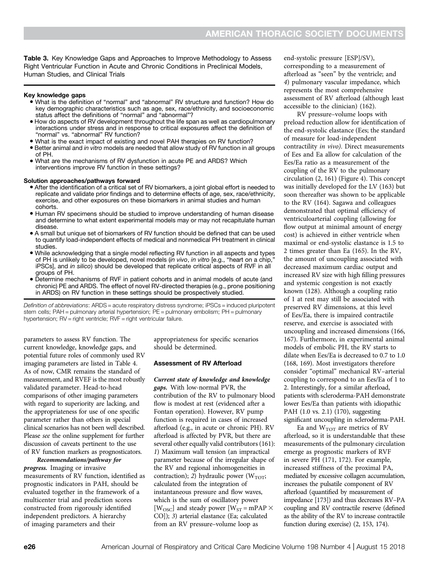Table 3. Key Knowledge Gaps and Approaches to Improve Methodology to Assess Right Ventricular Function in Acute and Chronic Conditions in Preclinical Models, Human Studies, and Clinical Trials

#### Key knowledge gaps

- <sup>d</sup> What is the definition of "normal" and "abnormal" RV structure and function? How do key demographic characteristics such as age, sex, race/ethnicity, and socioeconomic status affect the definitions of "normal" and "abnormal"?
- $\bullet$  How do aspects of RV development throughout the life span as well as cardiopulmonary interactions under stress and in response to critical exposures affect the definition of "normal" vs. "abnormal" RV function?
- What is the exact impact of existing and novel PAH therapies on RV function?
- Better animal and in vitro models are needed that allow study of RV function in all groups of PH.
- What are the mechanisms of RV dysfunction in acute PE and ARDS? Which interventions improve RV function in these settings?

#### Solution approaches/pathways forward

- After the identification of a critical set of RV biomarkers, a joint global effort is needed to replicate and validate prior findings and to determine effects of age, sex, race/ethnicity, exercise, and other exposures on these biomarkers in animal studies and human cohorts.
- Human RV specimens should be studied to improve understanding of human disease and determine to what extent experimental models may or may not recapitulate human disease.
- A small but unique set of biomarkers of RV function should be defined that can be used to quantify load-independent effects of medical and nonmedical PH treatment in clinical studies.
- While acknowledging that a single model reflecting RV function in all aspects and types of PH is unlikely to be developed, novel models (in vivo, in vitro [e.g., "heart on a chip," iPSCs], and in silico) should be developed that replicate critical aspects of RVF in all groups of PH.
- Determine mechanisms of RVF in patient cohorts and in animal models of acute (and chronic) PE and ARDS. The effect of novel RV-directed therapies (e.g., prone positioning in ARDS) on RV function in these settings should be prospectively studied.

Definition of abbreviations: ARDS = acute respiratory distress syndrome; iPSCs = induced pluripotent stem cells; PAH = pulmonary arterial hypertension; PE = pulmonary embolism; PH = pulmonary hypertension; RV = right ventricle; RVF = right ventricular failure.

parameters to assess RV function. The current knowledge, knowledge gaps, and potential future roles of commonly used RV imaging parameters are listed in Table 4. As of now, CMR remains the standard of measurement, and RVEF is the most robustly validated parameter. Head-to-head comparisons of other imaging parameters with regard to superiority are lacking, and the appropriateness for use of one specific parameter rather than others in special clinical scenarios has not been well described. Please see the online supplement for further discussion of caveats pertinent to the use of RV function markers as prognosticators.

### Recommendations/pathway for progress. Imaging or invasive measurements of RV function, identified as prognostic indicators in PAH, should be evaluated together in the framework of a multicenter trial and prediction scores constructed from rigorously identified

independent predictors. A hierarchy of imaging parameters and their

appropriateness for specific scenarios should be determined.

#### Assessment of RV Afterload

Current state of knowledge and knowledge gaps. With low-normal PVR, the contribution of the RV to pulmonary blood flow is modest at rest (evidenced after a Fontan operation). However, RV pump function is required in cases of increased afterload (e.g., in acute or chronic PH). RV afterload is affected by PVR, but there are several other equally valid contributors (161): 1) Maximum wall tension (an impractical parameter because of the irregular shape of the RV and regional inhomogeneities in contraction); 2) hydraulic power ( $W<sub>TOT</sub>$ ; calculated from the integration of instantaneous pressure and flow waves, which is the sum of oscillatory power [W<sub>OSC</sub>] and steady power [W<sub>ST</sub> = mPAP  $\times$ CO]); 3) arterial elastance (Ea; calculated from an RV pressure–volume loop as

end-systolic pressure [ESP]/SV), corresponding to a measurement of afterload as "seen" by the ventricle; and 4) pulmonary vascular impedance, which represents the most comprehensive assessment of RV afterload (although least accessible to the clinician) (162).

RV pressure–volume loops with preload reduction allow for identification of the end-systolic elastance (Ees; the standard of measure for load-independent contractility in vivo). Direct measurements of Ees and Ea allow for calculation of the Ees/Ea ratio as a measurement of the coupling of the RV to the pulmonary circulation (2, 161) (Figure 4). This concept was initially developed for the LV (163) but soon thereafter was shown to be applicable to the RV (164). Sagawa and colleagues demonstrated that optimal efficiency of ventriculoarterial coupling (allowing for flow output at minimal amount of energy cost) is achieved in either ventricle when maximal or end-systolic elastance is 1.5 to 2 times greater than Ea (165). In the RV, the amount of uncoupling associated with decreased maximum cardiac output and increased RV size with high filling pressures and systemic congestion is not exactly known (128). Although a coupling ratio of 1 at rest may still be associated with preserved RV dimensions, at this level of Ees/Ea, there is impaired contractile reserve, and exercise is associated with uncoupling and increased dimensions (166, 167). Furthermore, in experimental animal models of embolic PH, the RV starts to dilate when Ees/Ea is decreased to 0.7 to 1.0 (168, 169). Most investigators therefore consider "optimal" mechanical RV–arterial coupling to correspond to an Ees/Ea of 1 to 2. Interestingly, for a similar afterload, patients with scleroderma-PAH demonstrate lower Ees/Ea than patients with idiopathic PAH (1.0 vs. 2.1) (170), suggesting significant uncoupling in scleroderma-PAH.

Ea and  $W<sub>TOT</sub>$  are metrics of RV afterload, so it is understandable that these measurements of the pulmonary circulation emerge as prognostic markers of RVF in severe PH (171, 172). For example, increased stiffness of the proximal PA, mediated by excessive collagen accumulation, increases the pulsatile component of RV afterload (quantified by measurement of impedance [173]) and thus decreases RV–PA coupling and RV contractile reserve (defined as the ability of the RV to increase contractile function during exercise) (2, 153, 174).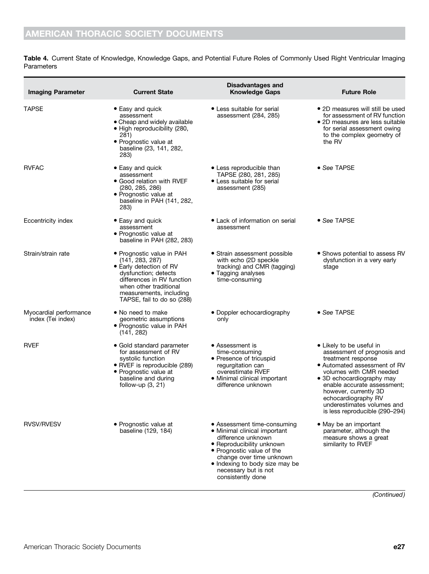Table 4. Current State of Knowledge, Knowledge Gaps, and Potential Future Roles of Commonly Used Right Ventricular Imaging Parameters

| <b>Imaging Parameter</b>                    | <b>Current State</b>                                                                                                                                                                                             | Disadvantages and<br><b>Knowledge Gaps</b>                                                                                                                                                                                                             | <b>Future Role</b>                                                                                                                                                                                                                                                                                                   |
|---------------------------------------------|------------------------------------------------------------------------------------------------------------------------------------------------------------------------------------------------------------------|--------------------------------------------------------------------------------------------------------------------------------------------------------------------------------------------------------------------------------------------------------|----------------------------------------------------------------------------------------------------------------------------------------------------------------------------------------------------------------------------------------------------------------------------------------------------------------------|
| <b>TAPSE</b>                                | • Easy and quick<br>assessment<br>• Cheap and widely available<br>· High reproducibility (280,<br>281)<br>• Prognostic value at<br>baseline (23, 141, 282,<br>283)                                               | • Less suitable for serial<br>assessment (284, 285)                                                                                                                                                                                                    | • 2D measures will still be used<br>for assessment of RV function<br>• 2D measures are less suitable<br>for serial assessment owing<br>to the complex geometry of<br>the RV                                                                                                                                          |
| <b>RVFAC</b>                                | • Easy and quick<br>assessment<br>• Good relation with RVEF<br>(280, 285, 286)<br>• Prognostic value at<br>baseline in PAH (141, 282,<br>283)                                                                    | • Less reproducible than<br>TAPSE (280, 281, 285)<br>• Less suitable for serial<br>assessment (285)                                                                                                                                                    | $\bullet$ See TAPSE                                                                                                                                                                                                                                                                                                  |
| Eccentricity index                          | $\bullet$ Easy and quick<br>assessment<br>• Prognostic value at<br>baseline in PAH (282, 283)                                                                                                                    | • Lack of information on serial<br>assessment                                                                                                                                                                                                          | • See TAPSE                                                                                                                                                                                                                                                                                                          |
| Strain/strain rate                          | • Prognostic value in PAH<br>(141, 283, 287)<br>• Early detection of RV<br>dysfunction; detects<br>differences in RV function<br>when other traditional<br>measurements, including<br>TAPSE, fail to do so (288) | • Strain assessment possible<br>with echo (2D speckle<br>tracking) and CMR (tagging)<br>• Tagging analyses<br>time-consuming                                                                                                                           | • Shows potential to assess RV<br>dysfunction in a very early<br>stage                                                                                                                                                                                                                                               |
| Myocardial performance<br>index (Tei index) | • No need to make<br>geometric assumptions<br>• Prognostic value in PAH<br>(141, 282)                                                                                                                            | • Doppler echocardiography<br>only                                                                                                                                                                                                                     | $\bullet$ See TAPSE                                                                                                                                                                                                                                                                                                  |
| <b>RVEF</b>                                 | • Gold standard parameter<br>for assessment of RV<br>systolic function<br>• RVEF is reproducible (289)<br>• Prognostic value at<br>baseline and during<br>follow-up $(3, 21)$                                    | • Assessment is<br>time-consuming<br>• Presence of tricuspid<br>requrgitation can<br>overestimate RVEF<br>• Minimal clinical important<br>difference unknown                                                                                           | • Likely to be useful in<br>assessment of prognosis and<br>treatment response<br>• Automated assessment of RV<br>volumes with CMR needed<br>• 3D echocardiography may<br>enable accurate assessment;<br>however, currently 3D<br>echocardiography RV<br>underestimates volumes and<br>is less reproducible (290-294) |
| <b>RVSV/RVESV</b>                           | • Prognostic value at<br>baseline (129, 184)                                                                                                                                                                     | • Assessment time-consuming<br>• Minimal clinical important<br>difference unknown<br>• Reproducibility unknown<br>• Prognostic value of the<br>change over time unknown<br>• Indexing to body size may be<br>necessary but is not<br>consistently done | • May be an important<br>parameter, although the<br>measure shows a great<br>similarity to RVEF                                                                                                                                                                                                                      |

(Continued)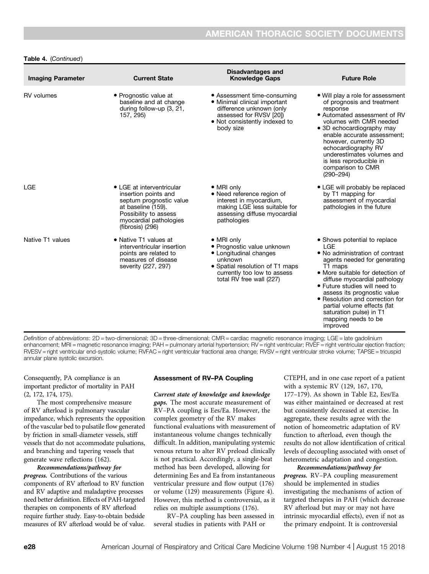#### Table 4. (Continued)

| <b>Imaging Parameter</b> | <b>Current State</b>                                                                                                                                                          | <b>Disadvantages and</b><br><b>Knowledge Gaps</b>                                                                                                                           | <b>Future Role</b>                                                                                                                                                                                                                                                                                                                                                                           |
|--------------------------|-------------------------------------------------------------------------------------------------------------------------------------------------------------------------------|-----------------------------------------------------------------------------------------------------------------------------------------------------------------------------|----------------------------------------------------------------------------------------------------------------------------------------------------------------------------------------------------------------------------------------------------------------------------------------------------------------------------------------------------------------------------------------------|
| <b>RV</b> volumes        | • Prognostic value at<br>baseline and at change<br>during follow-up (3, 21,<br>157, 295)                                                                                      | • Assessment time-consuming<br>• Minimal clinical important<br>difference unknown (only<br>assessed for RVSV [20])<br>• Not consistently indexed to<br>body size            | • Will play a role for assessment<br>of prognosis and treatment<br>response<br>• Automated assessment of RV<br>volumes with CMR needed<br>• 3D echocardiography may<br>enable accurate assessment;<br>however, currently 3D<br>echocardiography RV<br>underestimates volumes and<br>is less reproducible in<br>comparison to CMR<br>$(290 - 294)$                                            |
| LGE                      | • LGE at interventricular<br>insertion points and<br>septum prognostic value<br>at baseline (159).<br>Possibility to assess<br>myocardial pathologies<br>$(fibrosis)$ $(296)$ | • MRI only<br>• Need reference region of<br>interest in myocardium,<br>making LGE less suitable for<br>assessing diffuse myocardial<br>pathologies                          | • LGE will probably be replaced<br>by T1 mapping for<br>assessment of myocardial<br>pathologies in the future                                                                                                                                                                                                                                                                                |
| Native T1 values         | • Native T1 values at<br>interventricular insertion<br>points are related to<br>measures of disease<br>severity (227, 297)                                                    | • MRI only<br>• Prognostic value unknown<br>• Longitudinal changes<br>unknown<br>• Spatial resolution of T1 maps<br>currently too low to assess<br>total RV free wall (227) | • Shows potential to replace<br><b>LGE</b><br>• No administration of contrast<br>agents needed for generating<br>T1 maps<br>• More suitable for detection of<br>diffuse myocardial pathology<br>• Future studies will need to<br>assess its prognostic value<br>• Resolution and correction for<br>partial volume effects (fat<br>saturation pulse) in T1<br>mapping needs to be<br>imnroved |

Definition of abbreviations: 2D = two-dimensional; 3D = three-dimensional; CMR = cardiac magnetic resonance imaging; LGE = late gadolinium enhancement; MRI = magnetic resonance imaging; PAH = pulmonary arterial hypertension; RV = right ventricular; RVEF = right ventricular ejection fraction; RVESV = right ventricular end-systolic volume; RVFAC = right ventricular fractional area change; RVSV = right ventricular stroke volume; TAPSE = tricuspid annular plane systolic excursion.

Consequently, PA compliance is an important predictor of mortality in PAH (2, 172, 174, 175).

The most comprehensive measure of RV afterload is pulmonary vascular impedance, which represents the opposition of the vascular bed to pulsatile flow generated by friction in small-diameter vessels, stiff vessels that do not accommodate pulsations, and branching and tapering vessels that generate wave reflections (162).

Recommendations/pathway for progress. Contributions of the various components of RV afterload to RV function and RV adaptive and maladaptive processes need better definition. Effects of PAH-targeted therapies on components of RV afterload require further study. Easy-to-obtain bedside measures of RV afterload would be of value.

### Assessment of RV–PA Coupling

Current state of knowledge and knowledge gaps. The most accurate measurement of RV–PA coupling is Ees/Ea. However, the complex geometry of the RV makes functional evaluations with measurement of instantaneous volume changes technically difficult. In addition, manipulating systemic venous return to alter RV preload clinically is not practical. Accordingly, a single-beat method has been developed, allowing for determining Ees and Ea from instantaneous ventricular pressure and flow output (176) or volume (129) measurements (Figure 4). However, this method is controversial, as it relies on multiple assumptions (176).

RV–PA coupling has been assessed in several studies in patients with PAH or

CTEPH, and in one case report of a patient with a systemic RV (129, 167, 170, 177–179). As shown in Table E2, Ees/Ea was either maintained or decreased at rest but consistently decreased at exercise. In aggregate, these results agree with the notion of homeometric adaptation of RV function to afterload, even though the results do not allow identification of critical levels of decoupling associated with onset of heterometric adaptation and congestion.

Recommendations/pathway for progress. RV–PA coupling measurement should be implemented in studies investigating the mechanisms of action of targeted therapies in PAH (which decrease RV afterload but may or may not have intrinsic myocardial effects), even if not as the primary endpoint. It is controversial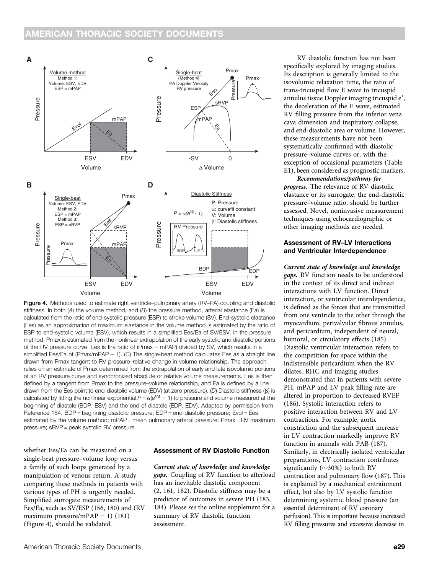# AMERICAN THORACIC SOCIETY DOCUMENTS



Figure 4. Methods used to estimate right ventricle–pulmonary artery (RV–PA) coupling and diastolic stiffness. In both  $(A)$  the volume method, and  $(B)$  the pressure method, arterial elastance (Ea) is calculated from the ratio of end-systolic pressure (ESP) to stroke volume (SV). End-systolic elastance (Ees) as an approximation of maximum elastance in the volume method is estimated by the ratio of ESP to end-systolic volume (ESV), which results in a simplified Ees/Ea of SV/ESV. In the pressure method, Pmax is estimated from the nonlinear extrapolation of the early systolic and diastolic portions of the RV pressure curve. Ees is the ratio of (Pmax - mPAP) divided by SV, which results in a simplified Ees/Ea of (Pmax/mPAP - 1). (C) The single-beat method calculates Ees as a straight line drawn from Pmax tangent to RV pressure–relative change in volume relationship. The approach relies on an estimate of Pmax determined from the extrapolation of early and late isovolumic portions of an RV pressure curve and synchronized absolute or relative volume measurements. Ees is then defined by a tangent from Pmax to the pressure–volume relationship, and Ea is defined by a line drawn from the Ees point to end-diastolic volume (EDV) (at zero pressure). (D) Diastolic stiffness (B) is calculated by fitting the nonlinear exponential  $P = \alpha(e^{V\beta} - 1)$  to pressure and volume measured at the beginning of diastole (BDP, ESV) and the end of diastole (EDP, EDV). Adapted by permission from Reference 184. BDP = beginning diastolic pressure; EDP = end-diastolic pressure; Evol = Ees estimated by the volume method; mPAP = mean pulmonary arterial pressure; Pmax = RV maximum pressure; sRVP = peak systolic RV pressure.

whether Ees/Ea can be measured on a single-beat pressure–volume loop versus a family of such loops generated by a manipulation of venous return. A study comparing these methods in patients with various types of PH is urgently needed. Simplified surrogate measurements of Ees/Ea, such as SV/ESP (156, 180) and (RV maximum pressure/mPAP  $- 1$ ) (181) (Figure 4), should be validated.

# Assessment of RV Diastolic Function

Current state of knowledge and knowledge gaps. Coupling of RV function to afterload has an inevitable diastolic component (2, 161, 182). Diastolic stiffness may be a predictor of outcomes in severe PH (183, 184). Please see the online supplement for a summary of RV diastolic function assessment.

RV diastolic function has not been specifically explored by imaging studies. Its description is generally limited to the isovolumic relaxation time, the ratio of trans-tricuspid flow E wave to tricuspid annulus tissue Doppler imaging tricuspid e', the deceleration of the E wave, estimated RV filling pressure from the inferior vena cava dimension and inspiratory collapse, and end-diastolic area or volume. However, these measurements have not been systematically confirmed with diastolic pressure–volume curves or, with the exception of occasional parameters (Table E1), been considered as prognostic markers.

Recommendations/pathway for progress. The relevance of RV diastolic elastance or its surrogate, the end-diastolic pressure–volume ratio, should be further assessed. Novel, noninvasive measurement techniques using echocardiographic or other imaging methods are needed.

### Assessment of RV–LV Interactions and Ventricular Interdependence

Current state of knowledge and knowledge gaps. RV function needs to be understood in the context of its direct and indirect interactions with LV function. Direct interaction, or ventricular interdependence, is defined as the forces that are transmitted from one ventricle to the other through the myocardium, perivalvular fibrous annulus, and pericardium, independent of neural, humoral, or circulatory effects (185). Diastolic ventricular interaction refers to the competition for space within the indistensible pericardium when the RV dilates. RHC and imaging studies demonstrated that in patients with severe PH, mPAP and LV peak filling rate are altered in proportion to decreased RVEF (186). Systolic interaction refers to positive interaction between RV and LV contractions. For example, aortic constriction and the subsequent increase in LV contraction markedly improve RV function in animals with PAB (187). Similarly, in electrically isolated ventricular preparations, LV contraction contributes significantly ( $\sim$ 30%) to both RV contraction and pulmonary flow (187). This is explained by a mechanical entrainment effect, but also by LV systolic function determining systemic blood pressure (an essential determinant of RV coronary perfusion). This is important because increased RV filling pressures and excessive decrease in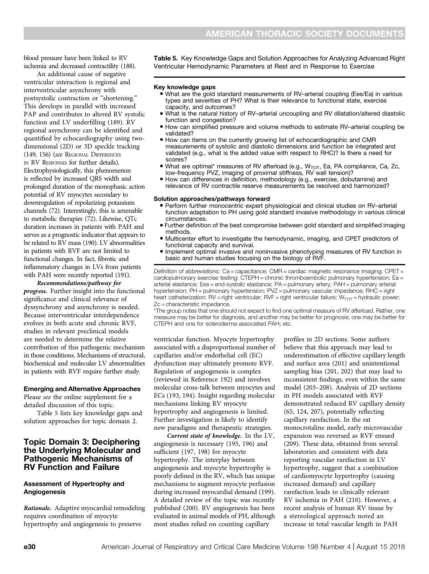blood pressure have been linked to RV ischemia and decreased contractility (188).

An additional cause of negative ventricular interaction is regional and interventricular asynchrony with postsystolic contraction or "shortening." This develops in parallel with increased PAP and contributes to altered RV systolic function and LV underfilling (189). RV regional asynchrony can be identified and quantified by echocardiography using twodimensional (2D) or 3D speckle tracking (149, 156) (see REGIONAL DIFFERENCES IN RV RESPONSES for further details). Electrophysiologically, this phenomenon is reflected by increased QRS width and prolonged duration of the monophasic action potential of RV myocytes secondary to downregulation of repolarizing potassium channels (72). Interestingly, this is amenable to metabolic therapies (72). Likewise, QTc duration increases in patients with PAH and serves as a prognostic indicator that appears to be related to RV mass (190). LV abnormalities in patients with RVF are not limited to functional changes. In fact, fibrotic and inflammatory changes in LVs from patients with PAH were recently reported (191).

Recommendations/pathway for progress. Further insight into the functional significance and clinical relevance of dyssynchrony and asynchrony is needed. Because interventricular interdependence evolves in both acute and chronic RVF, studies in relevant preclinical models are needed to determine the relative contribution of this pathogenic mechanism in those conditions. Mechanisms of structural, biochemical and molecular LV abnormalities in patients with RVF require further study.

#### Emerging and Alternative Approaches

Please see the online supplement for a detailed discussion of this topic.

Table 5 lists key knowledge gaps and solution approaches for topic domain 2.

# Topic Domain 3: Deciphering the Underlying Molecular and Pathogenic Mechanisms of RV Function and Failure

### Assessment of Hypertrophy and Angiogenesis

Rationale. Adaptive myocardial remodeling requires coordination of myocyte hypertrophy and angiogenesis to preserve

Table 5. Key Knowledge Gaps and Solution Approaches for Analyzing Advanced Right Ventricular Hemodynamic Parameters at Rest and in Response to Exercise

#### Key knowledge gaps

- What are the gold standard measurements of RV–arterial coupling (Ees/Ea) in various types and severities of PH? What is their relevance to functional state, exercise capacity, and outcomes?
- What is the natural history of RV-arterial uncoupling and RV dilatation/altered diastolic function and congestion?
- How can simplified pressure and volume methods to estimate RV–arterial coupling be validated?
- How can items on the currently growing list of echocardiographic and CMR measurements of systolic and diastolic dimensions and function be integrated and validated (e.g., what is the added value with respect to RHC)? Is there a need for scores?
- What are optimal\* measures of RV afterload (e.g.,  $W_{\text{TOT}}$ , Ea, PA compliance, Ca, Zc, low-frequency PVZ, imaging of proximal stiffness, RV wall tension)?
- <sup>d</sup> How can differences in definition, methodology (e.g., exercise, dobutamine) and relevance of RV contractile reserve measurements be resolved and harmonized?

#### Solution approaches/pathways forward

- <sup>d</sup> Perform further monocentric expert physiological and clinical studies on RV–arterial function adaptation to PH using gold standard invasive methodology in various clinical circumstances.
- Further definition of the best compromise between gold standard and simplified imaging methods.
- $\bullet$  Multicenter effort to investigate the hemodynamic, imaging, and CPET predictors of functional capacity and survival.
- Implement optimal invasive and noninvasive phenotyping measures of RV function in basic and human studies focusing on the biology of RVF.

Definition of abbreviations: Ca = capacitance; CMR = cardiac magnetic resonance imaging; CPET = cardiopulmonary exercise testing; CTEPH = chronic thromboembolic pulmonary hypertension; Ea = arterial elastance; Ees = end-systolic elastance; PA = pulmonary artery; PAH = pulmonary arterial hypertension; PH = pulmonary hypertension; PVZ = pulmonary vascular impedance; RHC = right heart catheterization; RV = right ventricular; RVF = right ventricular failure;  $W<sub>TOT</sub>$  = hydraulic power; Zc = characteristic impedance.

\*The group notes that one should not expect to find one optimal measure of RV afterload. Rather, one measure may be better for diagnosis, and another may be better for prognosis; one may be better for CTEPH and one for scleroderma-associated PAH; etc.

ventricular function. Myocyte hypertrophy associated with a disproportional number of capillaries and/or endothelial cell (EC) dysfunction may ultimately promote RVF. Regulation of angiogenesis is complex (reviewed in Reference 192) and involves molecular cross-talk between myocytes and ECs (193, 194). Insight regarding molecular mechanisms linking RV myocyte hypertrophy and angiogenesis is limited. Further investigation is likely to identify new paradigms and therapeutic strategies.

Current state of knowledge. In the LV, angiogenesis is necessary (195, 196) and sufficient (197, 198) for myocyte hypertrophy. The interplay between angiogenesis and myocyte hypertrophy is poorly defined in the RV, which has unique mechanisms to augment myocyte perfusion during increased myocardial demand (199). A detailed review of the topic was recently published (200). RV angiogenesis has been evaluated in animal models of PH, although most studies relied on counting capillary

profiles in 2D sections. Some authors believe that this approach may lead to underestimation of effective capillary length and surface area (201) and unintentional sampling bias (201, 202) that may lead to inconsistent findings, even within the same model (203–208). Analysis of 2D sections in PH models associated with RVF demonstrated reduced RV capillary density (65, 124, 207), potentially reflecting capillary rarefaction. In the rat monocrotaline model, early microvascular expansion was reversed as RVF ensued (209). These data, obtained from several laboratories and consistent with data reporting vascular rarefaction in LV hypertrophy, suggest that a combination of cardiomyocyte hypertrophy (causing increased demand) and capillary rarefaction leads to clinically relevant RV ischemia in PAH (210). However, a recent analysis of human RV tissue by a stereological approach noted an increase in total vascular length in PAH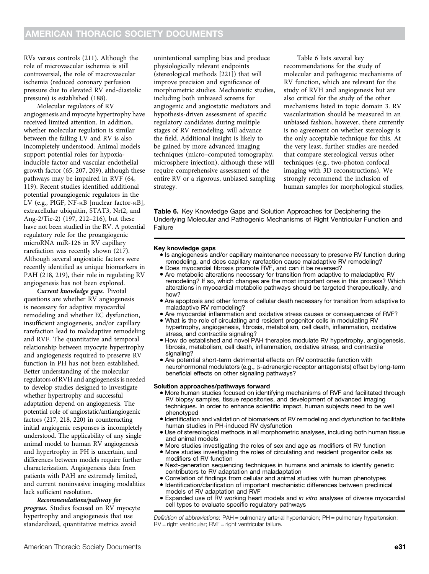RVs versus controls (211). Although the role of microvascular ischemia is still controversial, the role of macrovascular ischemia (reduced coronary perfusion pressure due to elevated RV end-diastolic pressure) is established (188).

Molecular regulators of RV angiogenesis and myocyte hypertrophy have received limited attention. In addition, whether molecular regulation is similar between the failing LV and RV is also incompletely understood. Animal models support potential roles for hypoxiainducible factor and vascular endothelial growth factor (65, 207, 209), although these pathways may be impaired in RVF (64, 119). Recent studies identified additional potential proangiogenic regulators in the LV (e.g., PlGF, NF- $\kappa$ B [nuclear factor- $\kappa$ B], extracellular ubiquitin, STAT3, Nrf2, and Ang-2/Tie-2) (197, 212–216), but these have not been studied in the RV. A potential regulatory role for the proangiogenic microRNA miR-126 in RV capillary rarefaction was recently shown (217). Although several angiostatic factors were recently identified as unique biomarkers in PAH (218, 219), their role in regulating RV angiogenesis has not been explored.

Current knowledge gaps. Pivotal questions are whether RV angiogenesis is necessary for adaptive myocardial remodeling and whether EC dysfunction, insufficient angiogenesis, and/or capillary rarefaction lead to maladaptive remodeling and RVF. The quantitative and temporal relationship between myocyte hypertrophy and angiogenesis required to preserve RV function in PH has not been established. Better understanding of the molecular regulators of RVH and angiogenesis is needed to develop studies designed to investigate whether hypertrophy and successful adaptation depend on angiogenesis. The potential role of angiostatic/antiangiogenic factors (217, 218, 220) in counteracting initial angiogenic responses is incompletely understood. The applicability of any single animal model to human RV angiogenesis and hypertrophy in PH is uncertain, and differences between models require further characterization. Angiogenesis data from patients with PAH are extremely limited, and current noninvasive imaging modalities lack sufficient resolution.

Recommendations/pathway for progress. Studies focused on RV myocyte hypertrophy and angiogenesis that use standardized, quantitative metrics avoid

unintentional sampling bias and produce physiologically relevant endpoints (stereological methods [221]) that will improve precision and significance of morphometric studies. Mechanistic studies, including both unbiased screens for angiogenic and angiostatic mediators and hypothesis-driven assessment of specific regulatory candidates during multiple stages of RV remodeling, will advance the field. Additional insight is likely to be gained by more advanced imaging techniques (micro–computed tomography, microsphere injection), although these will require comprehensive assessment of the entire RV or a rigorous, unbiased sampling strategy.

Table 6 lists several key recommendations for the study of molecular and pathogenic mechanisms of RV function, which are relevant for the study of RVH and angiogenesis but are also critical for the study of the other mechanisms listed in topic domain 3. RV vascularization should be measured in an unbiased fashion; however, there currently is no agreement on whether stereology is the only acceptable technique for this. At the very least, further studies are needed that compare stereological versus other techniques (e.g., two-photon confocal imaging with 3D reconstructions). We strongly recommend the inclusion of human samples for morphological studies,

Table 6. Key Knowledge Gaps and Solution Approaches for Deciphering the Underlying Molecular and Pathogenic Mechanisms of Right Ventricular Function and Failure

#### Key knowledge gaps

- $\bullet$  Is angiogenesis and/or capillary maintenance necessary to preserve RV function during remodeling, and does capillary rarefaction cause maladaptive RV remodeling?
- $\bullet$  Does myocardial fibrosis promote RVF, and can it be reversed?
- Are metabolic alterations necessary for transition from adaptive to maladaptive RV remodeling? If so, which changes are the most important ones in this process? Which alterations in myocardial metabolic pathways should be targeted therapeutically, and how?
- Are apoptosis and other forms of cellular death necessary for transition from adaptive to maladaptive RV remodeling?
- Are myocardial inflammation and oxidative stress causes or consequences of RVF?
- What is the role of circulating and resident progenitor cells in modulating RV hypertrophy, angiogenesis, fibrosis, metabolism, cell death, inflammation, oxidative stress, and contractile signaling?
- How do established and novel PAH therapies modulate RV hypertrophy, angiogenesis, fibrosis, metabolism, cell death, inflammation, oxidative stress, and contractile signaling?
- Are potential short-term detrimental effects on RV contractile function with neurohormonal modulators (e.g., b-adrenergic receptor antagonists) offset by long-term beneficial effects on other signaling pathways?

#### Solution approaches/pathways forward

- $\bullet$  More human studies focused on identifying mechanisms of RVF and facilitated through RV biopsy samples, tissue repositories, and development of advanced imaging techniques. In order to enhance scientific impact, human subjects need to be well phenotyped
- $\bullet$  Identification and validation of biomarkers of RV remodeling and dysfunction to facilitate human studies in PH-induced RV dysfunction
- Use of stereological methods in all morphometric analyses, including both human tissue and animal models
- More studies investigating the roles of sex and age as modifiers of RV function
- More studies investigating the roles of circulating and resident progenitor cells as modifiers of RV function
- Next-generation sequencing techniques in humans and animals to identify genetic contributors to RV adaptation and maladaptation
- Correlation of findings from cellular and animal studies with human phenotypes
- $\bullet$  Identification/clarification of important mechanistic differences between preclinical models of RV adaptation and RVF
- Expanded use of RV working heart models and in vitro analyses of diverse myocardial cell types to evaluate specific regulatory pathways

Definition of abbreviations: PAH = pulmonary arterial hypertension; PH = pulmonary hypertension; RV = right ventricular; RVF = right ventricular failure.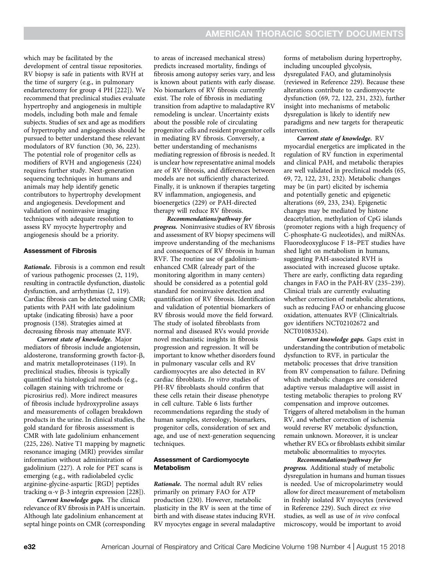which may be facilitated by the development of central tissue repositories. RV biopsy is safe in patients with RVH at the time of surgery (e.g., in pulmonary endarterectomy for group 4 PH [222]). We recommend that preclinical studies evaluate hypertrophy and angiogenesis in multiple models, including both male and female subjects. Studies of sex and age as modifiers of hypertrophy and angiogenesis should be pursued to better understand these relevant modulators of RV function (30, 36, 223). The potential role of progenitor cells as modifiers of RVH and angiogenesis (224) requires further study. Next-generation sequencing techniques in humans and animals may help identify genetic contributors to hypertrophy development and angiogenesis. Development and validation of noninvasive imaging techniques with adequate resolution to assess RV myocyte hypertrophy and angiogenesis should be a priority.

# Assessment of Fibrosis

Rationale. Fibrosis is a common end result of various pathogenic processes (2, 119), resulting in contractile dysfunction, diastolic dysfunction, and arrhythmias (2, 119). Cardiac fibrosis can be detected using CMR; patients with PAH with late gadolinium uptake (indicating fibrosis) have a poor prognosis (158). Strategies aimed at decreasing fibrosis may attenuate RVF.

Current state of knowledge. Major mediators of fibrosis include angiotensin, aldosterone, transforming growth factor- $\beta$ , and matrix metalloproteinases (119). In preclinical studies, fibrosis is typically quantified via histological methods (e.g., collagen staining with trichrome or picrosirius red). More indirect measures of fibrosis include hydroxyproline assays and measurements of collagen breakdown products in the urine. In clinical studies, the gold standard for fibrosis assessment is CMR with late gadolinium enhancement (225, 226). Native T1 mapping by magnetic resonance imaging (MRI) provides similar information without administration of gadolinium (227). A role for PET scans is emerging (e.g., with radiolabeled cyclic arginine-glycine-aspartic [RGD] peptides tracking  $\alpha$ -v  $\beta$ -3 integrin expression [228]).

Current knowledge gaps. The clinical relevance of RV fibrosis in PAH is uncertain. Although late gadolinium enhancement at septal hinge points on CMR (corresponding to areas of increased mechanical stress) predicts increased mortality, findings of fibrosis among autopsy series vary, and less is known about patients with early disease. No biomarkers of RV fibrosis currently exist. The role of fibrosis in mediating transition from adaptive to maladaptive RV remodeling is unclear. Uncertainty exists about the possible role of circulating progenitor cells and resident progenitor cells in mediating RV fibrosis. Conversely, a better understanding of mechanisms mediating regression of fibrosis is needed. It is unclear how representative animal models are of RV fibrosis, and differences between models are not sufficiently characterized. Finally, it is unknown if therapies targeting RV inflammation, angiogenesis, and bioenergetics (229) or PAH-directed therapy will reduce RV fibrosis.

Recommendations/pathway for progress. Noninvasive studies of RV fibrosis and assessment of RV biopsy specimens will improve understanding of the mechanisms and consequences of RV fibrosis in human RVF. The routine use of gadoliniumenhanced CMR (already part of the monitoring algorithm in many centers) should be considered as a potential gold standard for noninvasive detection and quantification of RV fibrosis. Identification and validation of potential biomarkers of RV fibrosis would move the field forward. The study of isolated fibroblasts from normal and diseased RVs would provide novel mechanistic insights in fibrosis progression and regression. It will be important to know whether disorders found in pulmonary vascular cells and RV cardiomyocytes are also detected in RV cardiac fibroblasts. In vitro studies of PH-RV fibroblasts should confirm that these cells retain their disease phenotype in cell culture. Table 6 lists further recommendations regarding the study of human samples, stereology, biomarkers, progenitor cells, consideration of sex and age, and use of next-generation sequencing techniques.

# Assessment of Cardiomyocyte Metabolism

Rationale. The normal adult RV relies primarily on primary FAO for ATP production (230). However, metabolic plasticity in the RV is seen at the time of birth and with disease states inducing RVH. RV myocytes engage in several maladaptive

forms of metabolism during hypertrophy, including uncoupled glycolysis, dysregulated FAO, and glutaminolysis (reviewed in Reference 229). Because these alterations contribute to cardiomyocyte dysfunction (69, 72, 122, 231, 232), further insight into mechanisms of metabolic dysregulation is likely to identify new paradigms and new targets for therapeutic intervention.

Current state of knowledge. RV myocardial energetics are implicated in the regulation of RV function in experimental and clinical PAH, and metabolic therapies are well validated in preclinical models (65, 69, 72, 122, 231, 232). Metabolic changes may be (in part) elicited by ischemia and potentially genetic and epigenetic alterations (69, 233, 234). Epigenetic changes may be mediated by histone deacetylation, methylation of CpG islands (promoter regions with a high frequency of C-phosphate-G nucleotides), and miRNAs. Fluorodeoxyglucose F 18–PET studies have shed light on metabolism in humans, suggesting PAH-associated RVH is associated with increased glucose uptake. There are early, conflicting data regarding changes in FAO in the PAH-RV (235–239). Clinical trials are currently evaluating whether correction of metabolic alterations, such as reducing FAO or enhancing glucose oxidation, attenuates RVF [\(Clinicaltrials.](http://Clinicaltrials.gov) [gov](http://Clinicaltrials.gov) identifiers NCT02102672 and NCT01083524).

Current knowledge gaps. Gaps exist in understanding the contribution of metabolic dysfunction to RVF, in particular the metabolic processes that drive transition from RV compensation to failure. Defining which metabolic changes are considered adaptive versus maladaptive will assist in testing metabolic therapies to prolong RV compensation and improve outcomes. Triggers of altered metabolism in the human RV, and whether correction of ischemia would reverse RV metabolic dysfunction, remain unknown. Moreover, it is unclear whether RV ECs or fibroblasts exhibit similar metabolic abnormalities to myocytes.

Recommendations/pathway for progress. Additional study of metabolic dysregulation in humans and human tissues is needed. Use of micropolarimetry would allow for direct measurement of metabolism in freshly isolated RV myocytes (reviewed in Reference 229). Such direct ex vivo studies, as well as use of in vivo confocal microscopy, would be important to avoid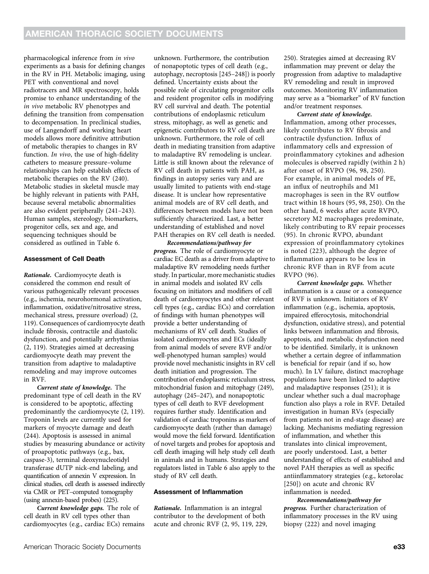pharmacological inference from in vivo experiments as a basis for defining changes in the RV in PH. Metabolic imaging, using PET with conventional and novel radiotracers and MR spectroscopy, holds promise to enhance understanding of the in vivo metabolic RV phenotypes and defining the transition from compensation to decompensation. In preclinical studies, use of Langendorff and working heart models allows more definitive attribution of metabolic therapies to changes in RV function. In vivo, the use of high-fidelity catheters to measure pressure–volume relationships can help establish effects of metabolic therapies on the RV (240). Metabolic studies in skeletal muscle may be highly relevant in patients with PAH, because several metabolic abnormalities are also evident peripherally (241–243). Human samples, stereology, biomarkers, progenitor cells, sex and age, and sequencing techniques should be considered as outlined in Table 6.

# Assessment of Cell Death

Rationale. Cardiomyocyte death is considered the common end result of various pathogenically relevant processes (e.g., ischemia, neurohormonal activation, inflammation, oxidative/nitrosative stress, mechanical stress, pressure overload) (2, 119). Consequences of cardiomyocyte death include fibrosis, contractile and diastolic dysfunction, and potentially arrhythmias (2, 119). Strategies aimed at decreasing cardiomyocyte death may prevent the transition from adaptive to maladaptive remodeling and may improve outcomes in RVF.

Current state of knowledge. The predominant type of cell death in the RV is considered to be apoptotic, affecting predominantly the cardiomyocyte (2, 119). Troponin levels are currently used for markers of myocyte damage and death (244). Apoptosis is assessed in animal studies by measuring abundance or activity of proapoptotic pathways (e.g., bax, caspase-3), terminal deoxynucleotidyl transferase dUTP nick-end labeling, and quantification of annexin V expression. In clinical studies, cell death is assessed indirectly via CMR or PET–computed tomography (using annexin-based probes) (225).

Current knowledge gaps. The role of cell death in RV cell types other than cardiomyocytes (e.g., cardiac ECs) remains unknown. Furthermore, the contribution of nonapoptotic types of cell death (e.g., autophagy, necroptosis [245–248]) is poorly defined. Uncertainty exists about the possible role of circulating progenitor cells and resident progenitor cells in modifying RV cell survival and death. The potential contributions of endoplasmic reticulum stress, mitophagy, as well as genetic and epigenetic contributors to RV cell death are unknown. Furthermore, the role of cell death in mediating transition from adaptive to maladaptive RV remodeling is unclear. Little is still known about the relevance of RV cell death in patients with PAH, as findings in autopsy series vary and are usually limited to patients with end-stage disease. It is unclear how representative animal models are of RV cell death, and differences between models have not been sufficiently characterized. Last, a better understanding of established and novel PAH therapies on RV cell death is needed.

Recommendations/pathway for progress. The role of cardiomyocyte or cardiac EC death as a driver from adaptive to maladaptive RV remodeling needs further study. In particular, more mechanistic studies in animal models and isolated RV cells focusing on initiators and modifiers of cell death of cardiomyocytes and other relevant cell types (e.g., cardiac ECs) and correlation of findings with human phenotypes will provide a better understanding of mechanisms of RV cell death. Studies of isolated cardiomyocytes and ECs (ideally from animal models of severe RVF and/or well-phenotyped human samples) would provide novel mechanistic insights in RV cell death initiation and progression. The contribution of endoplasmic reticulum stress, mitochondrial fusion and mitophagy (249), autophagy (245–247), and nonapoptotic types of cell death to RVF development requires further study. Identification and validation of cardiac troponins as markers of cardiomyocyte death (rather than damage) would move the field forward. Identification of novel targets and probes for apoptosis and cell death imaging will help study cell death in animals and in humans. Strategies and regulators listed in Table 6 also apply to the study of RV cell death.

# Assessment of Inflammation

Rationale. Inflammation is an integral contributor to the development of both acute and chronic RVF (2, 95, 119, 229, 250). Strategies aimed at decreasing RV inflammation may prevent or delay the progression from adaptive to maladaptive RV remodeling and result in improved outcomes. Monitoring RV inflammation may serve as a "biomarker" of RV function and/or treatment responses.

Current state of knowledge. Inflammation, among other processes, likely contributes to RV fibrosis and contractile dysfunction. Influx of inflammatory cells and expression of proinflammatory cytokines and adhesion molecules is observed rapidly (within 2 h) after onset of RVPO (96, 98, 250). For example, in animal models of PE, an influx of neutrophils and M1 macrophages is seen in the RV outflow tract within 18 hours (95, 98, 250). On the other hand, 6 weeks after acute RVPO, secretory M2 macrophages predominate, likely contributing to RV repair processes (95). In chronic RVPO, abundant expression of proinflammatory cytokines is noted (223), although the degree of inflammation appears to be less in chronic RVF than in RVF from acute RVPO (96).

Current knowledge gaps. Whether inflammation is a cause or a consequence of RVF is unknown. Initiators of RV inflammation (e.g., ischemia, apoptosis, impaired efferocytosis, mitochondrial dysfunction, oxidative stress), and potential links between inflammation and fibrosis, apoptosis, and metabolic dysfunction need to be identified. Similarly, it is unknown whether a certain degree of inflammation is beneficial for repair (and if so, how much). In LV failure, distinct macrophage populations have been linked to adaptive and maladaptive responses (251); it is unclear whether such a dual macrophage function also plays a role in RVF. Detailed investigation in human RVs (especially from patients not in end-stage disease) are lacking. Mechanisms mediating regression of inflammation, and whether this translates into clinical improvement, are poorly understood. Last, a better understanding of effects of established and novel PAH therapies as well as specific antiinflammatory strategies (e.g., ketorolac [250]) on acute and chronic RV inflammation is needed.

Recommendations/pathway for progress. Further characterization of inflammatory processes in the RV using biopsy (222) and novel imaging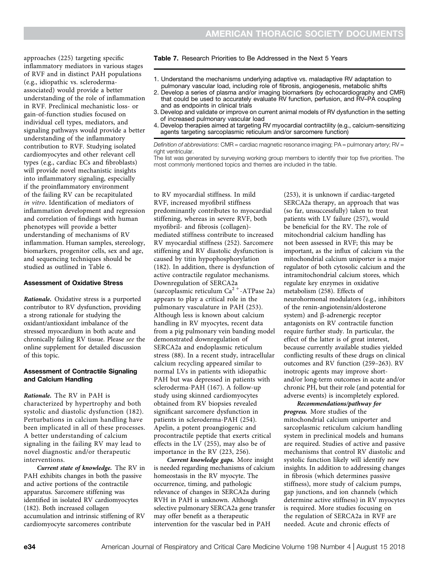approaches (225) targeting specific inflammatory mediators in various stages of RVF and in distinct PAH populations (e.g., idiopathic vs. sclerodermaassociated) would provide a better understanding of the role of inflammation in RVF. Preclinical mechanistic loss- or gain-of-function studies focused on individual cell types, mediators, and signaling pathways would provide a better understanding of the inflammatory contribution to RVF. Studying isolated cardiomyocytes and other relevant cell types (e.g., cardiac ECs and fibroblasts) will provide novel mechanistic insights into inflammatory signaling, especially if the proinflammatory environment of the failing RV can be recapitulated in vitro. Identification of mediators of inflammation development and regression and correlation of findings with human phenotypes will provide a better understanding of mechanisms of RV inflammation. Human samples, stereology, biomarkers, progenitor cells, sex and age, and sequencing techniques should be studied as outlined in Table 6.

### Assessment of Oxidative Stress

Rationale. Oxidative stress is a purported contributor to RV dysfunction, providing a strong rationale for studying the oxidant/antioxidant imbalance of the stressed myocardium in both acute and chronically failing RV tissue. Please see the online supplement for detailed discussion of this topic.

### Assessment of Contractile Signaling and Calcium Handling

Rationale. The RV in PAH is characterized by hypertrophy and both systolic and diastolic dysfunction (182). Perturbations in calcium handling have been implicated in all of these processes. A better understanding of calcium signaling in the failing RV may lead to novel diagnostic and/or therapeutic interventions.

Current state of knowledge. The RV in PAH exhibits changes in both the passive and active portions of the contractile apparatus. Sarcomere stiffening was identified in isolated RV cardiomyocytes (182). Both increased collagen accumulation and intrinsic stiffening of RV cardiomyocyte sarcomeres contribute

# Table 7. Research Priorities to Be Addressed in the Next 5 Years

- 1. Understand the mechanisms underlying adaptive vs. maladaptive RV adaptation to
- pulmonary vascular load, including role of fibrosis, angiogenesis, metabolic shifts 2. Develop a series of plasma and/or imaging biomarkers (by echocardiography and CMR) that could be used to accurately evaluate RV function, perfusion, and RV–PA coupling
- and as endpoints in clinical trials 3. Develop and validate or improve on current animal models of RV dysfunction in the setting of increased pulmonary vascular load
- 4. Develop therapies aimed at targeting RV myocardial contractility (e.g., calcium-sensitizing agents targeting sarcoplasmic reticulum and/or sarcomere function)

Definition of abbreviations: CMR = cardiac magnetic resonance imaging;  $PA =$  pulmonary artery;  $RV =$ right ventricular.

The list was generated by surveying working group members to identify their top five priorities. The most commonly mentioned topics and themes are included in the table.

to RV myocardial stiffness. In mild RVF, increased myofibril stiffness predominantly contributes to myocardial stiffening, whereas in severe RVF, both myofibril- and fibrosis (collagen) mediated stiffness contribute to increased RV myocardial stiffness (252). Sarcomere stiffening and RV diastolic dysfunction is caused by titin hypophosphorylation (182). In addition, there is dysfunction of active contractile regulator mechanisms. Downregulation of SERCA2a (sarcoplasmic reticulum  $Ca^{2+}-ATP$ ase 2a) appears to play a critical role in the pulmonary vasculature in PAH (253). Although less is known about calcium handling in RV myocytes, recent data from a pig pulmonary vein banding model demonstrated downregulation of SERCA2a and endoplasmic reticulum stress (88). In a recent study, intracellular calcium recycling appeared similar to normal LVs in patients with idiopathic PAH but was depressed in patients with scleroderma-PAH (167). A follow-up study using skinned cardiomyocytes obtained from RV biopsies revealed significant sarcomere dysfunction in patients in scleroderma-PAH (254). Apelin, a potent proangiogenic and procontractile peptide that exerts critical effects in the LV (255), may also be of importance in the RV (223, 256).

Current knowledge gaps. More insight is needed regarding mechanisms of calcium homeostasis in the RV myocyte. The occurrence, timing, and pathologic relevance of changes in SERCA2a during RVH in PAH is unknown. Although selective pulmonary SERCA2a gene transfer may offer benefit as a therapeutic intervention for the vascular bed in PAH

(253), it is unknown if cardiac-targeted SERCA2a therapy, an approach that was (so far, unsuccessfully) taken to treat patients with LV failure (257), would be beneficial for the RV. The role of mitochondrial calcium handling has not been assessed in RVF; this may be important, as the influx of calcium via the mitochondrial calcium uniporter is a major regulator of both cytosolic calcium and the intramitochondrial calcium stores, which regulate key enzymes in oxidative metabolism (258). Effects of neurohormonal modulators (e.g., inhibitors of the renin-angiotensin/aldosterone system) and  $\beta$ -adrenergic receptor antagonists on RV contractile function require further study. In particular, the effect of the latter is of great interest, because currently available studies yielded conflicting results of these drugs on clinical outcomes and RV function (259–263). RV inotropic agents may improve shortand/or long-term outcomes in acute and/or chronic PH, but their role (and potential for adverse events) is incompletely explored.

Recommendations/pathway for progress. More studies of the mitochondrial calcium uniporter and sarcoplasmic reticulum calcium handling system in preclinical models and humans are required. Studies of active and passive mechanisms that control RV diastolic and systolic function likely will identify new insights. In addition to addressing changes in fibrosis (which determines passive stiffness), more study of calcium pumps, gap junctions, and ion channels (which determine active stiffness) in RV myocytes is required. More studies focusing on the regulation of SERCA2a in RVF are needed. Acute and chronic effects of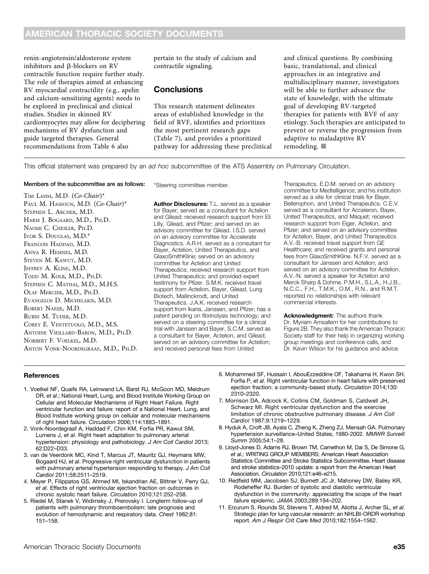renin-angiotensin/aldosterone system inhibitors and  $\beta$ -blockers on RV contractile function require further study. The role of therapies aimed at enhancing RV myocardial contractility (e.g., apelin and calcium-sensitizing agents) needs to be explored in preclinical and clinical studies. Studies in skinned RV cardiomyocytes may allow for deciphering mechanisms of RV dysfunction and guide targeted therapies. General recommendations from Table 6 also

pertain to the study of calcium and contractile signaling.

# **Conclusions**

This research statement delineates areas of established knowledge in the field of RVF, identifies and prioritizes the most pertinent research gaps (Table 7), and provides a prioritized pathway for addressing these preclinical and clinical questions. By combining basic, translational, and clinical approaches in an integrative and multidisciplinary manner, investigators will be able to further advance the state of knowledge, with the ultimate goal of developing RV-targeted therapies for patients with RVF of any etiology. Such therapies are anticipated to prevent or reverse the progression from adaptive to maladaptive RV remodeling.  $\blacksquare$ 

This official statement was prepared by an *ad hoc* subcommittee of the ATS Assembly on Pulmonary Circulation.

TIM LAHM, M.D. (Co-Chair)\* PAUL M. HASSOUN, M.D. (Co-Chair)\* STEPHEN L. ARCHER, M.D. HARM J. BOGAARD, M.D., PH.D. NAOMI C. CHESLER, PH.D. IVOR S. DOUGLAS, M.D.\* FRANCOIS HADDAD, M.D. ANNA R. HEMNES, M.D. STEVEN M. KAWUT, M.D. JEFFREY A. KLINE, M.D. TODD M. KOLB, M.D., PH.D. STEPHEN C. MATHAI, M.D., M.H.S. OLAF MERCIER, M.D., PH.D. EVANGELOS D. MICHELAKIS, M.D. ROBERT NAEIJE, M.D. RUBIN M. TUDER, M.D. COREY E. VENTETUOLO, M.D., M.S. ANTOINE VIEILLARD-BARON, M.D., PH.D. NORBERT F. VOELKEL, M.D. ANTON VONK-NOORDEGRAAF, M.D., PH.D. \*Steering committee member.

Author Disclosures: T.L. served as a speaker for Bayer; served as a consultant for Actelion and Gilead; received research support from Eli Lilly, Gilead, and Pfizer; and served on an advisory committee for Gilead. I.S.D. served on an advisory committee for Accelerate Diagnostics. A.R.H. served as a consultant for Bayer, Actelion, United Therapeutics, and GlaxoSmithKline; served on an advisory committee for Actelion and United Therapeutics; received research support from United Therapeutics; and provided expert testimony for Pfizer. S.M.K. received travel support from Actelion, Bayer, Gilead, Lung Biotech, Mallinckrodt, and United Therapeutics. J.A.K. received research support from Ikaria, Janssen, and Pfizer; has a patent pending on fibrinolysis technology; and served on a steering committee for a clinical trial with Janssen and Bayer. S.C.M. served as a consultant for Bayer, Actelion, and Gilead; served on an advisory committee for Actelion; and received personal fees from United

Therapeutics. E.D.M. served on an advisory committee for Medtelligence; and his institution served as a site for clinical trials for Bayer, Bellerophon, and United Therapeutics. C.E.V. served as a consultant for Acceleron, Bayer, United Therapeutics, and Maquet; received research support from Eiger, Actelion, and Pfizer; and served on an advisory committee for Actelion, Bayer, and United Therapeutics. A.V.-B. received travel support from GE Healthcare; and received grants and personal fees from GlaxoSmithKline. N.F.V. served as a consultant for Janssen and Actelion; and served on an advisory committee for Actelion. A.V.-N. served a speaker for Actelion and Merck Sharp & Dohme. P.M.H., S.L.A., H.J.B., N.C.C., F.H., T.M.K., O.M., R.N., and R.M.T. reported no relationships with relevant commercial interests.

Acknowledgment: The authors thank Dr. Myriam Amsallem for her contributions to Figure 2B. They also thank the American Thoracic Society staff for their help in organizing working group meetings and conference calls, and Dr. Kevin Wilson for his guidance and advice.

### References

- 1. Voelkel NF, Quaife RA, Leinwand LA, Barst RJ, McGoon MD, Meldrum DR, et al.; National Heart, Lung, and Blood Institute Working Group on Cellular and Molecular Mechanisms of Right Heart Failure. Right ventricular function and failure: report of a National Heart, Lung, and Blood Institute working group on cellular and molecular mechanisms of right heart failure. Circulation 2006;114:1883–1891.
- 2. Vonk-Noordegraaf A, Haddad F, Chin KM, Forfia PR, Kawut SM, Lumens J, et al. Right heart adaptation to pulmonary arterial hypertension: physiology and pathobiology. J Am Coll Cardiol 2013; 62:D22–D33.
- 3. van de Veerdonk MC, Kind T, Marcus JT, Mauritz GJ, Heymans MW, Bogaard HJ, et al. Progressive right ventricular dysfunction in patients with pulmonary arterial hypertension responding to therapy. J Am Coll Cardiol 2011;58:2511–2519.
- 4. Meyer P, Filippatos GS, Ahmed MI, Iskandrian AE, Bittner V, Perry GJ, et al. Effects of right ventricular ejection fraction on outcomes in chronic systolic heart failure. Circulation 2010;121:252–258.
- 5. Riedel M, Stanek V, Widimsky J, Prerovsky I. Longterm follow-up of patients with pulmonary thromboembolism: late prognosis and evolution of hemodynamic and respiratory data. Chest 1982;81: 151–158.
- 6. Mohammed SF, Hussain I, AbouEzzeddine OF, Takahama H, Kwon SH, Forfia P, et al. Right ventricular function in heart failure with preserved ejection fraction: a community-based study. Circulation 2014;130: 2310–2320.
- 7. Morrison DA, Adcock K, Collins CM, Goldman S, Caldwell JH, Schwarz MI. Right ventricular dysfunction and the exercise limitation of chronic obstructive pulmonary disease. J Am Coll Cardiol 1987;9:1219–1229.
- 8. Hyduk A, Croft JB, Ayala C, Zheng K, Zheng ZJ, Mensah GA. Pulmonary hypertension surveillance–United States, 1980-2002. MMWR Surveill Summ 2005;54:1–28.
- 9. Lloyd-Jones D, Adams RJ, Brown TM, Carnethon M, Dai S, De Simone G, et al.; WRITING GROUP MEMBERS; American Heart Association Statistics Committee and Stroke Statistics Subcommittee. Heart disease and stroke statistics–2010 update: a report from the American Heart Association. Circulation 2010;121:e46–e215.
- 10. Redfield MM, Jacobsen SJ, Burnett JC Jr, Mahoney DW, Bailey KR, Rodeheffer RJ. Burden of systolic and diastolic ventricular dysfunction in the community: appreciating the scope of the heart failure epidemic. JAMA 2003;289:194–202.
- 11. Erzurum S, Rounds SI, Stevens T, Aldred M, Aliotta J, Archer SL, et al. Strategic plan for lung vascular research: an NHLBI-ORDR workshop report. Am J Respir Crit Care Med 2010;182:1554–1562.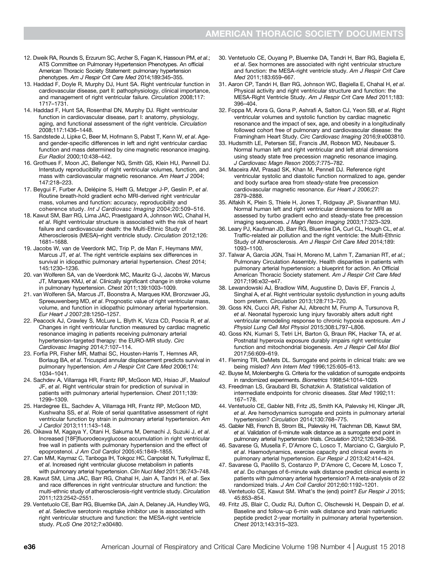- 12. Dweik RA, Rounds S, Erzurum SC, Archer S, Fagan K, Hassoun PM, et al.; ATS Committee on Pulmonary Hypertension Phenotypes. An official American Thoracic Society Statement: pulmonary hypertension phenotypes. Am J Respir Crit Care Med 2014;189:345–355.
- 13. Haddad F, Doyle R, Murphy DJ, Hunt SA. Right ventricular function in cardiovascular disease, part II: pathophysiology, clinical importance, and management of right ventricular failure. Circulation 2008;117: 1717–1731.
- 14. Haddad F, Hunt SA, Rosenthal DN, Murphy DJ. Right ventricular function in cardiovascular disease, part I: anatomy, physiology, aging, and functional assessment of the right ventricle. Circulation 2008;117:1436–1448.
- 15. Sandstede J, Lipke C, Beer M, Hofmann S, Pabst T, Kenn W, et al. Ageand gender-specific differences in left and right ventricular cardiac function and mass determined by cine magnetic resonance imaging. Eur Radiol 2000;10:438–442.
- 16. Grothues F, Moon JC, Bellenger NG, Smith GS, Klein HU, Pennell DJ. Interstudy reproducibility of right ventricular volumes, function, and mass with cardiovascular magnetic resonance. Am Heart J 2004; 147:218–223.
- 17. Beygui F, Furber A, Delépine S, Helft G, Metzger J-P, Geslin P, et al. Routine breath-hold gradient echo MRI-derived right ventricular mass, volumes and function: accuracy, reproducibility and coherence study. Int J Cardiovasc Imaging 2004;20:509–516.
- 18. Kawut SM, Barr RG, Lima JAC, Praestgaard A, Johnson WC, Chahal H, et al. Right ventricular structure is associated with the risk of heart failure and cardiovascular death: the Multi-Ethnic Study of Atherosclerosis (MESA)–right ventricle study. Circulation 2012;126: 1681–1688.
- 19. Jacobs W, van de Veerdonk MC, Trip P, de Man F, Heymans MW, Marcus JT, et al. The right ventricle explains sex differences in survival in idiopathic pulmonary arterial hypertension. Chest 2014; 145:1230–1236.
- 20. van Wolferen SA, van de Veerdonk MC, Mauritz G-J, Jacobs W, Marcus JT, Marques KMJ, et al. Clinically significant change in stroke volume in pulmonary hypertension. Chest 2011;139:1003–1009.
- 21. van Wolferen SA, Marcus JT, Boonstra A, Marques KM, Bronzwaer JG, Spreeuwenberg MD, et al. Prognostic value of right ventricular mass, volume, and function in idiopathic pulmonary arterial hypertension. Eur Heart J 2007;28:1250–1257.
- 22. Peacock AJ, Crawley S, McLure L, Blyth K, Vizza CD, Poscia R, et al. Changes in right ventricular function measured by cardiac magnetic resonance imaging in patients receiving pulmonary arterial hypertension-targeted therapy: the EURO-MR study. Circ Cardiovasc Imaging 2014;7:107–114.
- 23. Forfia PR, Fisher MR, Mathai SC, Housten-Harris T, Hemnes AR, Borlaug BA, et al. Tricuspid annular displacement predicts survival in pulmonary hypertension. Am J Respir Crit Care Med 2006;174: 1034–1041.
- 24. Sachdev A, Villarraga HR, Frantz RP, McGoon MD, Hsiao JF, Maalouf JF, et al. Right ventricular strain for prediction of survival in patients with pulmonary arterial hypertension. Chest 2011;139: 1299–1309.
- 25. Hardegree EL, Sachdev A, Villarraga HR, Frantz RP, McGoon MD, Kushwaha SS, et al. Role of serial quantitative assessment of right ventricular function by strain in pulmonary arterial hypertension. Am J Cardiol 2013;111:143–148.
- 26. Oikawa M, Kagaya Y, Otani H, Sakuma M, Demachi J, Suzuki J, et al. Increased [18F]fluorodeoxyglucose accumulation in right ventricular free wall in patients with pulmonary hypertension and the effect of epoprostenol. J Am Coll Cardiol 2005;45:1849–1855.
- 27. Can MM, Kaymaz C, Tanboga IH, Tokgoz HC, Canpolat N, Turkyilmaz E, et al. Increased right ventricular glucose metabolism in patients with pulmonary arterial hypertension. Clin Nucl Med 2011;36:743–748.
- 28. Kawut SM, Lima JAC, Barr RG, Chahal H, Jain A, Tandri H, et al. Sex and race differences in right ventricular structure and function: the multi-ethnic study of atherosclerosis-right ventricle study. Circulation 2011;123:2542–2551.
- 29. Ventetuolo CE, Barr RG, Bluemke DA, Jain A, Delaney JA, Hundley WG, et al. Selective serotonin reuptake inhibitor use is associated with right ventricular structure and function: the MESA-right ventricle study. PLoS One 2012;7:e30480.
- 30. Ventetuolo CE, Ouyang P, Bluemke DA, Tandri H, Barr RG, Bagiella E, et al. Sex hormones are associated with right ventricular structure and function: the MESA-right ventricle study. Am J Respir Crit Care Med 2011;183:659–667.
- 31. Aaron CP, Tandri H, Barr RG, Johnson WC, Bagiella E, Chahal H, et al. Physical activity and right ventricular structure and function: the MESA-Right Ventricle Study. Am J Respir Crit Care Med 2011;183: 396–404.
- 32. Foppa M, Arora G, Gona P, Ashrafi A, Salton CJ, Yeon SB, et al. Right ventricular volumes and systolic function by cardiac magnetic resonance and the impact of sex, age, and obesity in a longitudinally followed cohort free of pulmonary and cardiovascular disease: the Framingham Heart Study. Circ Cardiovasc Imaging 2016;9:e003810.
- 33. Hudsmith LE, Petersen SE, Francis JM, Robson MD, Neubauer S. Normal human left and right ventricular and left atrial dimensions using steady state free precession magnetic resonance imaging. J Cardiovasc Magn Reson 2005;7:775–782.
- 34. Maceira AM, Prasad SK, Khan M, Pennell DJ. Reference right ventricular systolic and diastolic function normalized to age, gender and body surface area from steady-state free precession cardiovascular magnetic resonance. Eur Heart J 2006;27: 2879–2888.
- 35. Alfakih K, Plein S, Thiele H, Jones T, Ridgway JP, Sivananthan MU. Normal human left and right ventricular dimensions for MRI as assessed by turbo gradient echo and steady-state free precession imaging sequences. J Magn Reson Imaging 2003;17:323–329.
- 36. Leary PJ, Kaufman JD, Barr RG, Bluemke DA, Curl CL, Hough CL, et al. Traffic-related air pollution and the right ventricle: the Multi-Ethnic Study of Atherosclerosis. Am J Respir Crit Care Med 2014;189: 1093–1100.
- 37. Talwar A, Garcia JGN, Tsai H, Moreno M, Lahm T, Zamanian RT, et al.; Pulmonary Circulation Assembly. Health disparities in patients with pulmonary arterial hypertension: a blueprint for action. An Official American Thoracic Society statement. Am J Respir Crit Care Med 2017;196:e32–e47.
- 38. Lewandowski AJ, Bradlow WM, Augustine D, Davis EF, Francis J, Singhal A, et al. Right ventricular systolic dysfunction in young adults born preterm. Circulation 2013;128:713–720.
- 39. Goss KN, Cucci AR, Fisher AJ, Albrecht M, Frump A, Tursunova R, et al. Neonatal hyperoxic lung injury favorably alters adult right ventricular remodeling response to chronic hypoxia exposure. Am J Physiol Lung Cell Mol Physiol 2015;308:L797–L806.
- 40. Goss KN, Kumari S, Tetri LH, Barton G, Braun RK, Hacker TA, et al. Postnatal hyperoxia exposure durably impairs right ventricular function and mitochondrial biogenesis. Am J Respir Cell Mol Biol 2017;56:609–619.
- 41. Fleming TR, DeMets DL. Surrogate end points in clinical trials: are we being misled? Ann Intern Med 1996;125:605–613.
- 42. Buyse M, Molenberghs G. Criteria for the validation of surrogate endpoints in randomized experiments. Biometrics 1998;54:1014–1029.
- 43. Freedman LS, Graubard BI, Schatzkin A. Statistical validation of intermediate endpoints for chronic diseases. Stat Med 1992;11: 167–178.
- 44. Ventetuolo CE, Gabler NB, Fritz JS, Smith KA, Palevsky HI, Klinger JR, et al. Are hemodynamics surrogate end points in pulmonary arterial hypertension? Circulation 2014;130:768–775.
- 45. Gabler NB, French B, Strom BL, Palevsky HI, Taichman DB, Kawut SM, et al. Validation of 6-minute walk distance as a surrogate end point in pulmonary arterial hypertension trials. Circulation 2012;126:349–356.
- 46. Savarese G, Musella F, D'Amore C, Losco T, Marciano C, Gargiulo P, et al. Haemodynamics, exercise capacity and clinical events in pulmonary arterial hypertension. Eur Respir J 2013;42:414–424.
- 47. Savarese G, Paolillo S, Costanzo P, D'Amore C, Cecere M, Losco T, et al. Do changes of 6-minute walk distance predict clinical events in patients with pulmonary arterial hypertension? A meta-analysis of 22 randomized trials. J Am Coll Cardiol 2012;60:1192–1201.
- 48. Ventetuolo CE, Kawut SM. What's the (end) point? Eur Respir J 2015; 45:853–854.
- 49. Fritz JS, Blair C, Oudiz RJ, Dufton C, Olschewski H, Despain D, et al. Baseline and follow-up 6-min walk distance and brain natriuretic peptide predict 2-year mortality in pulmonary arterial hypertension. Chest 2013;143:315–323.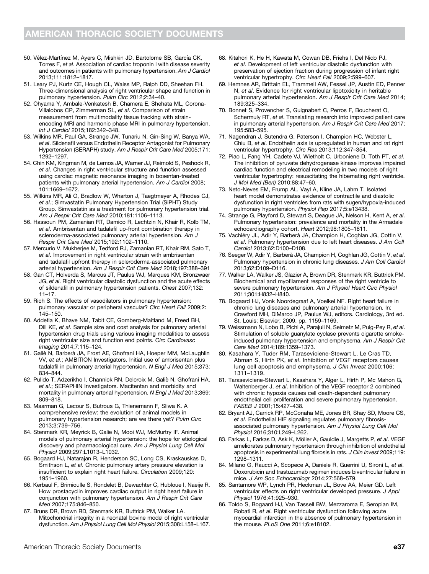- 50. Vélez-Martínez M, Ayers C, Mishkin JD, Bartolome SB, García CK, Torres F, et al. Association of cardiac troponin I with disease severity and outcomes in patients with pulmonary hypertension. Am J Cardiol 2013;111:1812–1817.
- 51. Leary PJ, Kurtz CE, Hough CL, Waiss MP, Ralph DD, Sheehan FH. Three-dimensional analysis of right ventricular shape and function in pulmonary hypertension. Pulm Circ 2012;2:34–40.
- 52. Ohyama Y, Ambale-Venkatesh B, Chamera E, Shehata ML, Corona-Villalobos CP, Zimmerman SL, et al. Comparison of strain measurement from multimodality tissue tracking with strainencoding MRI and harmonic phase MRI in pulmonary hypertension. Int J Cardiol 2015;182:342–348.
- 53. Wilkins MR, Paul GA, Strange JW, Tunariu N, Gin-Sing W, Banya WA, et al. Sildenafil versus Endothelin Receptor Antagonist for Pulmonary Hypertension (SERAPH) study. Am J Respir Crit Care Med 2005;171: 1292–1297.
- 54. Chin KM, Kingman M, de Lemos JA, Warner JJ, Reimold S, Peshock R, et al. Changes in right ventricular structure and function assessed using cardiac magnetic resonance imaging in bosentan-treated patients with pulmonary arterial hypertension. Am J Cardiol 2008; 101:1669–1672.
- 55. Wilkins MR, Ali O, Bradlow W, Wharton J, Taegtmeyer A, Rhodes CJ, et al.; Simvastatin Pulmonary Hypertension Trial (SiPHT) Study Group. Simvastatin as a treatment for pulmonary hypertension trial. Am J Respir Crit Care Med 2010;181:1106–1113.
- 56. Hassoun PM, Zamanian RT, Damico R, Lechtzin N, Khair R, Kolb TM, et al. Ambrisentan and tadalafil up-front combination therapy in scleroderma-associated pulmonary arterial hypertension. Am J Respir Crit Care Med 2015;192:1102–1110.
- 57. Mercurio V, Mukherjee M, Tedford RJ, Zamanian RT, Khair RM, Sato T, et al. Improvement in right ventricular strain with ambrisentan and tadalafil upfront therapy in scleroderma-associated pulmonary arterial hypertension. Am J Respir Crit Care Med 2018;197:388–391
- 58. Gan CT, Holverda S, Marcus JT, Paulus WJ, Marques KM, Bronzwaer JG, et al. Right ventricular diastolic dysfunction and the acute effects of sildenafil in pulmonary hypertension patients. Chest 2007;132: 11–17.
- 59. Rich S. The effects of vasodilators in pulmonary hypertension: pulmonary vascular or peripheral vascular? Circ Heart Fail 2009;2: 145–150.
- 60. Addetia K, Bhave NM, Tabit CE, Gomberg-Maitland M, Freed BH, Dill KE, et al. Sample size and cost analysis for pulmonary arterial hypertension drug trials using various imaging modalities to assess right ventricular size and function end points. Circ Cardiovasc Imaging 2014;7:115–124.
- 61. Galiè N, Barberà JA, Frost AE, Ghofrani HA, Hoeper MM, McLaughlin VV, et al.; AMBITION Investigators. Initial use of ambrisentan plus tadalafil in pulmonary arterial hypertension. N Engl J Med 2015;373: 834–844.
- 62. Pulido T, Adzerikho I, Channick RN, Delcroix M, Galiè N, Ghofrani HA, et al.; SERAPHIN Investigators. Macitentan and morbidity and mortality in pulmonary arterial hypertension. N Engl J Med 2013;369: 809–818.
- 63. Maarman G, Lecour S, Butrous G, Thienemann F, Sliwa K. A comprehensive review: the evolution of animal models in pulmonary hypertension research; are we there yet? Pulm Circ 2013;3:739–756.
- 64. Stenmark KR, Meyrick B, Galie N, Mooi WJ, McMurtry IF. Animal models of pulmonary arterial hypertension: the hope for etiological discovery and pharmacological cure. Am J Physiol Lung Cell Mol Physiol 2009;297:L1013–L1032.
- 65. Bogaard HJ, Natarajan R, Henderson SC, Long CS, Kraskauskas D, Smithson L, et al. Chronic pulmonary artery pressure elevation is insufficient to explain right heart failure. Circulation 2009;120: 1951–1960.
- 66. Kerbaul F, Brimioulle S, Rondelet B, Dewachter C, Hubloue I, Naeije R. How prostacyclin improves cardiac output in right heart failure in conjunction with pulmonary hypertension. Am J Respir Crit Care Med 2007;175:846–850.
- 67. Bruns DR, Brown RD, Stenmark KR, Buttrick PM, Walker LA. Mitochondrial integrity in a neonatal bovine model of right ventricular dysfunction. Am J Physiol Lung Cell Mol Physiol 2015;308:L158–L167.
- 68. Kitahori K, He H, Kawata M, Cowan DB, Friehs I, Del Nido PJ, et al. Development of left ventricular diastolic dysfunction with preservation of ejection fraction during progression of infant right ventricular hypertrophy. Circ Heart Fail 2009;2:599–607.
- 69. Hemnes AR, Brittain EL, Trammell AW, Fessel JP, Austin ED, Penner N, et al. Evidence for right ventricular lipotoxicity in heritable pulmonary arterial hypertension. Am J Respir Crit Care Med 2014; 189:325–334.
- 70. Bonnet S, Provencher S, Guignabert C, Perros F, Boucherat O, Schermuly RT, et al. Translating research into improved patient care in pulmonary arterial hypertension. Am J Respir Crit Care Med 2017; 195:583–595.
- 71. Nagendran J, Sutendra G, Paterson I, Champion HC, Webster L, Chiu B, et al. Endothelin axis is upregulated in human and rat right ventricular hypertrophy. Circ Res 2013;112:347–354.
- 72. Piao L, Fang YH, Cadete VJ, Wietholt C, Urboniene D, Toth PT, et al. The inhibition of pyruvate dehydrogenase kinase improves impaired cardiac function and electrical remodeling in two models of right ventricular hypertrophy: resuscitating the hibernating right ventricle. J Mol Med (Berl) 2010;88:47–60.
- 73. Neto-Neves EM, Frump AL, Vayl A, Kline JA, Lahm T. Isolated heart model demonstrates evidence of contractile and diastolic dysfunction in right ventricles from rats with sugen/hypoxia-induced pulmonary hypertension. Physiol Rep 2017;5:e13438.
- 74. Strange G, Playford D, Stewart S, Deague JA, Nelson H, Kent A, et al. Pulmonary hypertension: prevalence and mortality in the Armadale echocardiography cohort. Heart 2012;98:1805–1811.
- 75. Vachiéry JL, Adir Y, Barberà JA, Champion H, Coghlan JG, Cottin V, et al. Pulmonary hypertension due to left heart diseases. J Am Coll Cardiol 2013;62:D100–D108.
- 76. Seeger W, Adir Y, Barberà JA, Champion H, Coghlan JG, Cottin V, et al. Pulmonary hypertension in chronic lung diseases. J Am Coll Cardiol 2013;62:D109–D116.
- 77. Walker LA, Walker JS, Glazier A, Brown DR, Stenmark KR, Buttrick PM. Biochemical and myofilament responses of the right ventricle to severe pulmonary hypertension. Am J Physiol Heart Circ Physiol 2011;301:H832–H840.
- 78. Bogaard HJ, Vonk Noordegraaf A, Voelkel NF. Right heart failure in chronic lung diseases and pulmonary arterial hypertension. In: Crawford MH, DiMarco JP, Paulus WJ, editors. Cardiology, 3rd ed. St. Louis: Elsevier; 2009. pp. 1159–1169.
- 79. Weissmann N, Lobo B, Pichl A, Parajuli N, Seimetz M, Puig-Pey R, et al. Stimulation of soluble guanylate cyclase prevents cigarette smokeinduced pulmonary hypertension and emphysema. Am J Respir Crit Care Med 2014;189:1359–1373.
- 80. Kasahara Y, Tuder RM, Taraseviciene-Stewart L, Le Cras TD, Abman S, Hirth PK, et al. Inhibition of VEGF receptors causes lung cell apoptosis and emphysema. J Clin Invest 2000;106: 1311–1319.
- 81. Taraseviciene-Stewart L, Kasahara Y, Alger L, Hirth P, Mc Mahon G, Waltenberger J, et al. Inhibition of the VEGF receptor 2 combined with chronic hypoxia causes cell death-dependent pulmonary endothelial cell proliferation and severe pulmonary hypertension. FASEB J 2001;15:427–438.
- 82. Bryant AJ, Carrick RP, McConaha ME, Jones BR, Shay SD, Moore CS, et al. Endothelial HIF signaling regulates pulmonary fibrosisassociated pulmonary hypertension. Am J Physiol Lung Cell Mol Physiol 2016;310:L249–L262.
- 83. Farkas L, Farkas D, Ask K, Möller A, Gauldie J, Margetts P, et al. VEGF ameliorates pulmonary hypertension through inhibition of endothelial apoptosis in experimental lung fibrosis in rats. J Clin Invest 2009;119: 1298–1311.
- 84. Milano G, Raucci A, Scopece A, Daniele R, Guerrini U, Sironi L, et al. Doxorubicin and trastuzumab regimen induces biventricular failure in mice. J Am Soc Echocardiogr 2014;27:568–579.
- 85. Santamore WP, Lynch PR, Heckman JL, Bove AA, Meier GD. Left ventricular effects on right ventricular developed pressure. J Appl Physiol 1976;41:925–930.
- 86. Toldo S, Bogaard HJ, Van Tassell BW, Mezzaroma E, Seropian IM, Robati R, et al. Right ventricular dysfunction following acute myocardial infarction in the absence of pulmonary hypertension in the mouse. PLoS One 2011;6:e18102.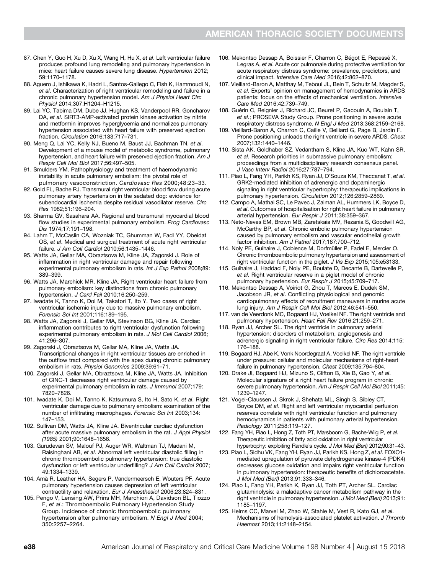- 87. Chen Y, Guo H, Xu D, Xu X, Wang H, Hu X, et al. Left ventricular failure produces profound lung remodeling and pulmonary hypertension in mice: heart failure causes severe lung disease. Hypertension 2012; 59:1170–1178.
- 88. Aguero J, Ishikawa K, Hadri L, Santos-Gallego C, Fish K, Hammoudi N, et al. Characterization of right ventricular remodeling and failure in a chronic pulmonary hypertension model. Am J Physiol Heart Circ Physiol 2014;307:H1204–H1215.
- 89. Lai YC, Tabima DM, Dube JJ, Hughan KS, Vanderpool RR, Goncharov DA, et al. SIRT3-AMP-activated protein kinase activation by nitrite and metformin improves hyperglycemia and normalizes pulmonary hypertension associated with heart failure with preserved ejection fraction. Circulation 2016;133:717–731.
- 90. Meng Q, Lai YC, Kelly NJ, Bueno M, Baust JJ, Bachman TN, et al. Development of a mouse model of metabolic syndrome, pulmonary hypertension, and heart failure with preserved ejection fraction. Am J Respir Cell Mol Biol 2017;56:497–505.
- 91. Smulders YM. Pathophysiology and treatment of haemodynamic instability in acute pulmonary embolism: the pivotal role of pulmonary vasoconstriction. Cardiovasc Res 2000;48:23–33.
- 92. Gold FL, Bache RJ. Transmural right ventricular blood flow during acute pulmonary artery hypertension in the sedated dog: evidence for subendocardial ischemia despite residual vasodilator reserve. Circ Res 1982;51:196–204.
- 93. Sharma GV, Sasahara AA. Regional and transmural myocardial blood flow studies in experimental pulmonary embolism. Prog Cardiovasc Dis 1974;17:191–198.
- 94. Lahm T, McCaslin CA, Wozniak TC, Ghumman W, Fadl YY, Obeidat OS, et al. Medical and surgical treatment of acute right ventricular failure. J Am Coll Cardiol 2010;56:1435–1446.
- 95. Watts JA, Gellar MA, Obraztsova M, Kline JA, Zagorski J. Role of inflammation in right ventricular damage and repair following experimental pulmonary embolism in rats. Int J Exp Pathol 2008;89: 389–399.
- 96. Watts JA, Marchick MR, Kline JA. Right ventricular heart failure from pulmonary embolism: key distinctions from chronic pulmonary hypertension. J Card Fail 2010;16:250-259.
- 97. Iwadate K, Tanno K, Doi M, Takatori T, Ito Y. Two cases of right ventricular ischemic injury due to massive pulmonary embolism. Forensic Sci Int 2001;116:189–195.
- 98. Watts JA, Zagorski J, Gellar MA, Stevinson BG, Kline JA. Cardiac inflammation contributes to right ventricular dysfunction following experimental pulmonary embolism in rats. J Mol Cell Cardiol 2006; 41:296–307.
- 99. Zagorski J, Obraztsova M, Gellar MA, Kline JA, Watts JA. Transcriptional changes in right ventricular tissues are enriched in the outflow tract compared with the apex during chronic pulmonary embolism in rats. Physiol Genomics 2009;39:61–71.
- 100. Zagorski J, Gellar MA, Obraztsova M, Kline JA, Watts JA. Inhibition of CINC-1 decreases right ventricular damage caused by experimental pulmonary embolism in rats. J Immunol 2007;179: 7820–7826.
- 101. Iwadate K, Doi M, Tanno K, Katsumura S, Ito H, Sato K, et al. Right ventricular damage due to pulmonary embolism: examination of the number of infiltrating macrophages. Forensic Sci Int 2003;134: 147–153.
- 102. Sullivan DM, Watts JA, Kline JA. Biventricular cardiac dysfunction after acute massive pulmonary embolism in the rat. J Appl Physiol (1985) 2001;90:1648–1656.
- 103. Gurudevan SV, Malouf PJ, Auger WR, Waltman TJ, Madani M, Raisinghani AB, et al. Abnormal left ventricular diastolic filling in chronic thromboembolic pulmonary hypertension: true diastolic dysfunction or left ventricular underfilling? J Am Coll Cardiol 2007; 49:1334–1339.
- 104. Amà R, Leather HA, Segers P, Vandermeersch E, Wouters PF. Acute pulmonary hypertension causes depression of left ventricular contractility and relaxation. Eur J Anaesthesiol 2006;23:824–831.
- 105. Pengo V, Lensing AW, Prins MH, Marchiori A, Davidson BL, Tiozzo F, et al.; Thromboembolic Pulmonary Hypertension Study Group. Incidence of chronic thromboembolic pulmonary hypertension after pulmonary embolism. N Engl J Med 2004; 350:2257–2264.
- 106. Mekontso Dessap A, Boissier F, Charron C, Bégot E, Repessé X, Legras A, et al. Acute cor pulmonale during protective ventilation for acute respiratory distress syndrome: prevalence, predictors, and clinical impact. Intensive Care Med 2016;42:862–870.
- 107. Vieillard-Baron A, Matthay M, Teboul JL, Bein T, Schultz M, Magder S, et al. Experts' opinion on management of hemodynamics in ARDS patients: focus on the effects of mechanical ventilation. Intensive Care Med 2016;42:739–749.
- 108. Guérin C, Reignier J, Richard JC, Beuret P, Gacouin A, Boulain T, et al.; PROSEVA Study Group. Prone positioning in severe acute respiratory distress syndrome. N Engl J Med 2013;368:2159–2168.
- 109. Vieillard-Baron A, Charron C, Caille V, Belliard G, Page B, Jardin F. Prone positioning unloads the right ventricle in severe ARDS. Chest 2007;132:1440–1446.
- 110. Sista AK, Goldhaber SZ, Vedantham S, Kline JA, Kuo WT, Kahn SR, et al. Research priorities in submassive pulmonary embolism: proceedings from a multidisciplinary research consensus panel. J Vasc Interv Radiol 2016;27:787–794.
- 111. Piao L, Fang YH, Parikh KS, Ryan JJ, D'Souza KM, Theccanat T, et al. GRK2-mediated inhibition of adrenergic and dopaminergic signaling in right ventricular hypertrophy: therapeutic implications in pulmonary hypertension. Circulation 2012;126:2859–2869.
- 112. Campo A, Mathai SC, Le Pavec J, Zaiman AL, Hummers LK, Boyce D, et al. Outcomes of hospitalisation for right heart failure in pulmonary arterial hypertension. Eur Respir J 2011;38:359–367.
- 113. Neto-Neves EM, Brown MB, Zaretskaia MV, Rezania S, Goodwill AG, McCarthy BP, et al. Chronic embolic pulmonary hypertension caused by pulmonary embolism and vascular endothelial growth factor inhibition. Am J Pathol 2017;187:700–712.
- 114. Noly PE, Guihaire J, Coblence M, Dorfmüller P, Fadel E, Mercier O. Chronic thromboembolic pulmonary hypertension and assessment of right ventricular function in the piglet. J Vis Exp 2015;105:e53133.
- 115. Guihaire J, Haddad F, Noly PE, Boulate D, Decante B, Dartevelle P, et al. Right ventricular reserve in a piglet model of chronic pulmonary hypertension. Eur Respir J 2015;45:709–717.
- 116. Mekontso Dessap A, Voiriot G, Zhou T, Marcos E, Dudek SM, Jacobson JR, et al. Conflicting physiological and genomic cardiopulmonary effects of recruitment maneuvers in murine acute lung injury. Am J Respir Cell Mol Biol 2012;46:541–550.
- 117. van de Veerdonk MC, Bogaard HJ, Voelkel NF. The right ventricle and pulmonary hypertension. Heart Fail Rev 2016;21:259–271.
- 118. Ryan JJ, Archer SL. The right ventricle in pulmonary arterial hypertension: disorders of metabolism, angiogenesis and adrenergic signaling in right ventricular failure. Circ Res 2014;115: 176–188.
- 119. Bogaard HJ, Abe K, Vonk Noordegraaf A, Voelkel NF. The right ventricle under pressure: cellular and molecular mechanisms of right-heart failure in pulmonary hypertension. Chest 2009;135:794–804.
- 120. Drake JI, Bogaard HJ, Mizuno S, Clifton B, Xie B, Gao Y, et al. Molecular signature of a right heart failure program in chronic severe pulmonary hypertension. Am J Respir Cell Mol Biol 2011;45: 1239–1247.
- 121. Vogel-Claussen J, Skrok J, Shehata ML, Singh S, Sibley CT, Boyce DM, et al. Right and left ventricular myocardial perfusion reserves correlate with right ventricular function and pulmonary hemodynamics in patients with pulmonary arterial hypertension. Radiology 2011;258:119–127.
- 122. Fang YH, Piao L, Hong Z, Toth PT, Marsboom G, Bache-Wiig P, et al. Therapeutic inhibition of fatty acid oxidation in right ventricular hypertrophy: exploiting Randle's cycle. J Mol Med (Berl) 2012;90:31-43.
- 123. Piao L, Sidhu VK, Fang YH, Ryan JJ, Parikh KS, Hong Z, et al. FOXO1 mediated upregulation of pyruvate dehydrogenase kinase-4 (PDK4) decreases glucose oxidation and impairs right ventricular function in pulmonary hypertension: therapeutic benefits of dichloroacetate. J Mol Med (Berl) 2013;91:333–346.
- 124. Piao L, Fang YH, Parikh K, Ryan JJ, Toth PT, Archer SL. Cardiac glutaminolysis: a maladaptive cancer metabolism pathway in the right ventricle in pulmonary hypertension. J Mol Med (Berl) 2013;91: 1185–1197.
- 125. Helms CC, Marvel M, Zhao W, Stahle M, Vest R, Kato GJ, et al. Mechanisms of hemolysis-associated platelet activation. J Thromb Haemost 2013;11:2148–2154.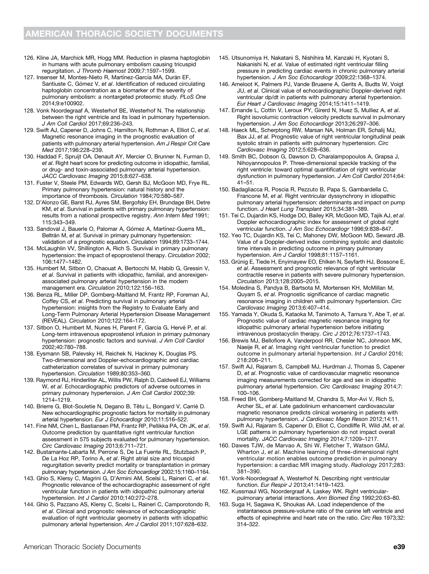- 126. Kline JA, Marchick MR, Hogg MM. Reduction in plasma haptoglobin in humans with acute pulmonary embolism causing tricuspid regurgitation. J Thromb Haemost 2009;7:1597–1599.
- 127. Insenser M, Montes-Nieto R, Martínez-García MA, Durán EF, Santiuste C, Gómez V, et al. Identification of reduced circulating haptoglobin concentration as a biomarker of the severity of pulmonary embolism: a nontargeted proteomic study. PLoS One 2014;9:e100902.
- 128. Vonk Noordegraaf A, Westerhof BE, Westerhof N. The relationship between the right ventricle and its load in pulmonary hypertension. J Am Coll Cardiol 2017;69:236–243.
- 129. Swift AJ, Capener D, Johns C, Hamilton N, Rothman A, Elliot C, et al. Magnetic resonance imaging in the prognostic evaluation of patients with pulmonary arterial hypertension. Am J Respir Crit Care Med 2017;196:228–239.
- 130. Haddad F, Spruijt OA, Denault AY, Mercier O, Brunner N, Furman D, et al. Right heart score for predicting outcome in idiopathic, familial, or drug- and toxin-associated pulmonary arterial hypertension. JACC Cardiovasc Imaging 2015;8:627–638.
- 131. Fuster V, Steele PM, Edwards WD, Gersh BJ, McGoon MD, Frye RL. Primary pulmonary hypertension: natural history and the importance of thrombosis. Circulation 1984;70:580–587.
- 132. D'Alonzo GE, Barst RJ, Ayres SM, Bergofsky EH, Brundage BH, Detre KM, et al. Survival in patients with primary pulmonary hypertension: results from a national prospective registry. Ann Intern Med 1991; 115:343–349.
- 133. Sandoval J, Bauerle O, Palomar A, Gómez A, Martínez-Guerra ML, Beltrán M, et al. Survival in primary pulmonary hypertension: validation of a prognostic equation. Circulation 1994;89:1733–1744.
- 134. McLaughlin VV, Shillington A, Rich S. Survival in primary pulmonary hypertension: the impact of epoprostenol therapy. Circulation 2002; 106:1477–1482.
- 135. Humbert M, Sitbon O, Chaouat A, Bertocchi M, Habib G, Gressin V, et al. Survival in patients with idiopathic, familial, and anorexigenassociated pulmonary arterial hypertension in the modern management era. Circulation 2010;122:156–163.
- 136. Benza RL, Miller DP, Gomberg-Maitland M, Frantz RP, Foreman AJ, Coffey CS, et al. Predicting survival in pulmonary arterial hypertension: insights from the Registry to Evaluate Early and Long-Term Pulmonary Arterial Hypertension Disease Management (REVEAL). Circulation 2010;122:164–172.
- 137. Sitbon O, Humbert M, Nunes H, Parent F, Garcia G, Hervé P, et al. Long-term intravenous epoprostenol infusion in primary pulmonary hypertension: prognostic factors and survival. J Am Coll Cardiol 2002;40:780–788.
- 138. Eysmann SB, Palevsky HI, Reichek N, Hackney K, Douglas PS. Two-dimensional and Doppler-echocardiographic and cardiac catheterization correlates of survival in primary pulmonary hypertension. Circulation 1989;80:353–360.
- 139. Raymond RJ, Hinderliter AL, Willis PW, Ralph D, Caldwell EJ, Williams W, et al. Echocardiographic predictors of adverse outcomes in primary pulmonary hypertension. J Am Coll Cardiol 2002;39: 1214–1219.
- 140. Brierre G, Blot-Souletie N, Degano B, Têtu L, Bongard V, Carrié D. New echocardiographic prognostic factors for mortality in pulmonary arterial hypertension. Eur J Echocardiogr 2010;11:516–522.
- 141. Fine NM, Chen L, Bastiansen PM, Frantz RP, Pellikka PA, Oh JK, et al. Outcome prediction by quantitative right ventricular function assessment in 575 subjects evaluated for pulmonary hypertension. Circ Cardiovasc Imaging 2013;6:711–721.
- 142. Bustamante-Labarta M, Perrone S, De La Fuente RL, Stutzbach P, De La Hoz RP, Torino A, et al. Right atrial size and tricuspid regurgitation severity predict mortality or transplantation in primary pulmonary hypertension. J Am Soc Echocardiogr 2002;15:1160–1164.
- 143. Ghio S, Klersy C, Magrini G, D'Armini AM, Scelsi L, Raineri C, et al. Prognostic relevance of the echocardiographic assessment of right ventricular function in patients with idiopathic pulmonary arterial hypertension. Int J Cardiol 2010;140:272-278.
- 144. Ghio S, Pazzano AS, Klersy C, Scelsi L, Raineri C, Camporotondo R, et al. Clinical and prognostic relevance of echocardiographic evaluation of right ventricular geometry in patients with idiopathic pulmonary arterial hypertension. Am J Cardiol 2011;107:628–632.
- 145. Utsunomiya H, Nakatani S, Nishihira M, Kanzaki H, Kyotani S, Nakanishi N, et al. Value of estimated right ventricular filling pressure in predicting cardiac events in chronic pulmonary arterial hypertension. J Am Soc Echocardiogr 2009;22:1368–1374.
- 146. Ameloot K, Palmers PJ, Vande Bruaene A, Gerits A, Budts W, Voigt JU, et al. Clinical value of echocardiographic Doppler-derived right ventricular dp/dt in patients with pulmonary arterial hypertension. Eur Heart J Cardiovasc Imaging 2014;15:1411–1419.
- 147. Ernande L, Cottin V, Leroux PY, Girerd N, Huez S, Mulliez A, et al. Right isovolumic contraction velocity predicts survival in pulmonary hypertension. J Am Soc Echocardiogr 2013;26:297–306.
- 148. Haeck ML, Scherptong RW, Marsan NA, Holman ER, Schalij MJ, Bax JJ, et al. Prognostic value of right ventricular longitudinal peak systolic strain in patients with pulmonary hypertension. Circ Cardiovasc Imaging 2012;5:628–636.
- 149. Smith BC, Dobson G, Dawson D, Charalampopoulos A, Grapsa J, Nihoyannopoulos P. Three-dimensional speckle tracking of the right ventricle: toward optimal quantification of right ventricular dysfunction in pulmonary hypertension. J Am Coll Cardiol 2014;64: 41–51.
- 150. Badagliacca R, Poscia R, Pezzuto B, Papa S, Gambardella C, Francone M, et al. Right ventricular dyssynchrony in idiopathic pulmonary arterial hypertension: determinants and impact on pump function. J Heart Lung Transplant 2015;34:381–389.
- 151. Tei C, Dujardin KS, Hodge DO, Bailey KR, McGoon MD, Tajik AJ, et al. Doppler echocardiographic index for assessment of global right ventricular function. J Am Soc Echocardiogr 1996;9:838–847.
- 152. Yeo TC, Dujardin KS, Tei C, Mahoney DW, McGoon MD, Seward JB. Value of a Doppler-derived index combining systolic and diastolic time intervals in predicting outcome in primary pulmonary hypertension. Am J Cardiol 1998;81:1157–1161.
- 153. Grünig E, Tiede H, Enyimayew EO, Ehlken N, Seyfarth HJ, Bossone E, et al. Assessment and prognostic relevance of right ventricular contractile reserve in patients with severe pulmonary hypertension. Circulation 2013;128:2005–2015.
- 154. Moledina S, Pandya B, Bartsota M, Mortensen KH, McMillan M, Quyam S, et al. Prognostic significance of cardiac magnetic resonance imaging in children with pulmonary hypertension. Circ Cardiovasc Imaging 2013;6:407–414.
- 155. Yamada Y, Okuda S, Kataoka M, Tanimoto A, Tamura Y, Abe T, et al. Prognostic value of cardiac magnetic resonance imaging for idiopathic pulmonary arterial hypertension before initiating intravenous prostacyclin therapy. Circ J 2012;76:1737–1743.
- 156. Brewis MJ, Bellofiore A, Vanderpool RR, Chesler NC, Johnson MK, Naeije R, et al. Imaging right ventricular function to predict outcome in pulmonary arterial hypertension. Int J Cardiol 2016; 218:206–211.
- 157. Swift AJ, Rajaram S, Campbell MJ, Hurdman J, Thomas S, Capener D, et al. Prognostic value of cardiovascular magnetic resonance imaging measurements corrected for age and sex in idiopathic pulmonary arterial hypertension. Circ Cardiovasc Imaging 2014;7: 100–106.
- 158. Freed BH, Gomberg-Maitland M, Chandra S, Mor-Avi V, Rich S, Archer SL, et al. Late gadolinium enhancement cardiovascular magnetic resonance predicts clinical worsening in patients with pulmonary hypertension. J Cardiovasc Magn Reson 2012;14:11.
- 159. Swift AJ, Rajaram S, Capener D, Elliot C, Condliffe R, Wild JM, et al. LGE patterns in pulmonary hypertension do not impact overall mortality. JACC Cardiovasc Imaging 2014;7:1209–1217.
- 160. Dawes TJW, de Marvao A, Shi W, Fletcher T, Watson GMJ, Wharton J, et al. Machine learning of three-dimensional right ventricular motion enables outcome prediction in pulmonary hypertension: a cardiac MR imaging study. Radiology 2017;283: 381–390.
- 161. Vonk-Noordegraaf A, Westerhof N. Describing right ventricular function. Eur Respir J 2013;41:1419–1423.
- 162. Kussmaul WG, Noordergraaf A, Laskey WK. Right ventricularpulmonary arterial interactions. Ann Biomed Eng 1992;20:63–80.
- 163. Suga H, Sagawa K, Shoukas AA. Load independence of the instantaneous pressure-volume ratio of the canine left ventricle and effects of epinephrine and heart rate on the ratio. Circ Res 1973;32: 314–322.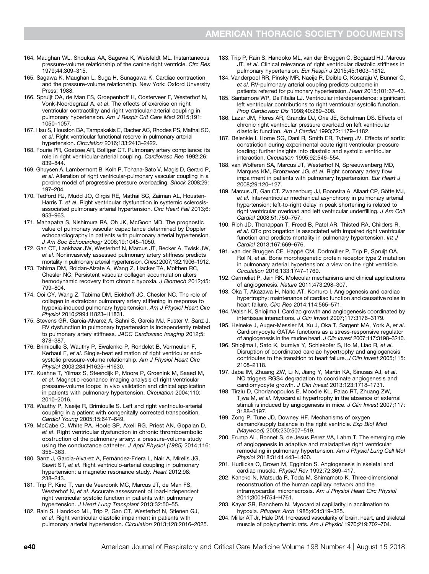- 164. Maughan WL, Shoukas AA, Sagawa K, Weisfeldt ML. Instantaneous pressure-volume relationship of the canine right ventricle. Circ Res 1979;44:309–315.
- 165. Sagawa K, Maughan L, Suga H, Sunagawa K. Cardiac contraction and the pressure-volume relationship. New York: Oxford Unversity Press; 1988.
- 166. Spruijt OA, de Man FS, Groepenhoff H, Oosterveer F, Westerhof N, Vonk-Noordegraaf A, et al. The effects of exercise on right ventricular contractility and right ventricular-arterial coupling in pulmonary hypertension. Am J Respir Crit Care Med 2015;191: 1050–1057.
- 167. Hsu S, Houston BA, Tampakakis E, Bacher AC, Rhodes PS, Mathai SC, et al. Right ventricular functional reserve in pulmonary arterial hypertension. Circulation 2016;133:2413–2422.
- 168. Fourie PR, Coetzee AR, Bolliger CT. Pulmonary artery compliance: its role in right ventricular-arterial coupling. Cardiovasc Res 1992;26: 839–844.
- 169. Ghuysen A, Lambermont B, Kolh P, Tchana-Sato V, Magis D, Gerard P, et al. Alteration of right ventricular-pulmonary vascular coupling in a porcine model of progressive pressure overloading. Shock 2008;29: 197–204.
- 170. Tedford RJ, Mudd JO, Girgis RE, Mathai SC, Zaiman AL, Housten-Harris T, et al. Right ventricular dysfunction in systemic sclerosisassociated pulmonary arterial hypertension. Circ Heart Fail 2013;6: 953–963.
- 171. Mahapatra S, Nishimura RA, Oh JK, McGoon MD. The prognostic value of pulmonary vascular capacitance determined by Doppler echocardiography in patients with pulmonary arterial hypertension. J Am Soc Echocardiogr 2006;19:1045–1050.
- 172. Gan CT, Lankhaar JW, Westerhof N, Marcus JT, Becker A, Twisk JW, et al. Noninvasively assessed pulmonary artery stiffness predicts mortality in pulmonary arterial hypertension. Chest 2007;132:1906–1912.
- 173. Tabima DM, Roldan-Alzate A, Wang Z, Hacker TA, Molthen RC, Chesler NC. Persistent vascular collagen accumulation alters hemodynamic recovery from chronic hypoxia. J Biomech 2012;45: 799–804.
- 174. Ooi CY, Wang Z, Tabima DM, Eickhoff JC, Chesler NC. The role of collagen in extralobar pulmonary artery stiffening in response to hypoxia-induced pulmonary hypertension. Am J Physiol Heart Circ Physiol 2010;299:H1823–H1831.
- 175. Stevens GR, Garcia-Alvarez A, Sahni S, Garcia MJ, Fuster V, Sanz J. RV dysfunction in pulmonary hypertension is independently related to pulmonary artery stiffness. JACC Cardiovasc Imaging 2012;5: 378–387.
- 176. Brimioulle S, Wauthy P, Ewalenko P, Rondelet B, Vermeulen F, Kerbaul F, et al. Single-beat estimation of right ventricular endsystolic pressure-volume relationship. Am J Physiol Heart Circ Physiol 2003;284:H1625–H1630.
- 177. Kuehne T, Yilmaz S, Steendijk P, Moore P, Groenink M, Saaed M, et al. Magnetic resonance imaging analysis of right ventricular pressure-volume loops: in vivo validation and clinical application in patients with pulmonary hypertension. Circulation 2004;110: 2010–2016.
- 178. Wauthy P, Naeije R, Brimioulle S. Left and right ventriculo-arterial coupling in a patient with congenitally corrected transposition. Cardiol Young 2005;15:647–649.
- 179. McCabe C, White PA, Hoole SP, Axell RG, Priest AN, Gopalan D, et al. Right ventricular dysfunction in chronic thromboembolic obstruction of the pulmonary artery: a pressure-volume study using the conductance catheter. J Appl Physiol (1985) 2014;116: 355–363.
- 180. Sanz J, García-Alvarez A, Fernández-Friera L, Nair A, Mirelis JG, Sawit ST, et al. Right ventriculo-arterial coupling in pulmonary hypertension: a magnetic resonance study. Heart 2012;98: 238–243.
- 181. Trip P, Kind T, van de Veerdonk MC, Marcus JT, de Man FS, Westerhof N, et al. Accurate assessment of load-independent right ventricular systolic function in patients with pulmonary hypertension. J Heart Lung Transplant 2013;32:50–55.
- 182. Rain S, Handoko ML, Trip P, Gan CT, Westerhof N, Stienen GJ, et al. Right ventricular diastolic impairment in patients with pulmonary arterial hypertension. Circulation 2013;128:2016–2025.
- 183. Trip P, Rain S, Handoko ML, van der Bruggen C, Bogaard HJ, Marcus JT, et al. Clinical relevance of right ventricular diastolic stiffness in pulmonary hypertension. Eur Respir J 2015;45:1603–1612.
- 184. Vanderpool RR, Pinsky MR, Naeije R, Deible C, Kosaraju V, Bunner C, et al. RV-pulmonary arterial coupling predicts outcome in patients referred for pulmonary hypertension. Heart 2015;101:37–43.
- 185. Santamore WP, Dell'Italia LJ. Ventricular interdependence: significant left ventricular contributions to right ventricular systolic function. Prog Cardiovasc Dis 1998;40:289–308.
- 186. Lazar JM, Flores AR, Grandis DJ, Orie JE, Schulman DS. Effects of chronic right ventricular pressure overload on left ventricular diastolic function. Am J Cardiol 1993;72:1179–1182.
- 187. Belenkie I, Horne SG, Dani R, Smith ER, Tyberg JV. Effects of aortic constriction during experimental acute right ventricular pressure loading: further insights into diastolic and systolic ventricular interaction. Circulation 1995;92:546–554.
- 188. van Wolferen SA, Marcus JT, Westerhof N, Spreeuwenberg MD, Marques KM, Bronzwaer JG, et al. Right coronary artery flow impairment in patients with pulmonary hypertension. Eur Heart J 2008;29:120–127.
- 189. Marcus JT, Gan CT, Zwanenburg JJ, Boonstra A, Allaart CP, Götte MJ, et al. Interventricular mechanical asynchrony in pulmonary arterial hypertension: left-to-right delay in peak shortening is related to right ventricular overload and left ventricular underfilling. J Am Coll Cardiol 2008;51:750–757.
- 190. Rich JD, Thenappan T, Freed B, Patel AR, Thisted RA, Childers R, et al. QTc prolongation is associated with impaired right ventricular function and predicts mortality in pulmonary hypertension. Int J Cardiol 2013;167:669–676.
- 191. van der Bruggen CE, Happé CM, Dorfmüller P, Trip P, Spruijt OA, Rol N, et al. Bone morphogenetic protein receptor type 2 mutation in pulmonary arterial hypertension: a view on the right ventricle. Circulation 2016;133:1747–1760.
- 192. Carmeliet P, Jain RK. Molecular mechanisms and clinical applications of angiogenesis. Nature 2011;473:298–307.
- 193. Oka T, Akazawa H, Naito AT, Komuro I. Angiogenesis and cardiac hypertrophy: maintenance of cardiac function and causative roles in heart failure. Circ Res 2014;114:565–571.
- 194. Walsh K, Shiojima I. Cardiac growth and angiogenesis coordinated by intertissue interactions. J Clin Invest 2007;117:3176–3179.
- 195. Heineke J, Auger-Messier M, Xu J, Oka T, Sargent MA, York A, et al. Cardiomyocyte GATA4 functions as a stress-responsive regulator of angiogenesis in the murine heart. J Clin Invest 2007;117:3198–3210.
- 196. Shiojima I, Sato K, Izumiya Y, Schiekofer S, Ito M, Liao R, et al. Disruption of coordinated cardiac hypertrophy and angiogenesis contributes to the transition to heart failure. J Clin Invest 2005;115: 2108–2118.
- 197. Jaba IM, Zhuang ZW, Li N, Jiang Y, Martin KA, Sinusas AJ, et al. NO triggers RGS4 degradation to coordinate angiogenesis and cardiomyocyte growth. J Clin Invest 2013;123:1718–1731.
- 198. Tirziu D, Chorianopoulos E, Moodie KL, Palac RT, Zhuang ZW, Tjwa M, et al. Myocardial hypertrophy in the absence of external stimuli is induced by angiogenesis in mice. J Clin Invest 2007;117: 3188–3197.
- 199. Zong P, Tune JD, Downey HF. Mechanisms of oxygen demand/supply balance in the right ventricle. Exp Biol Med (Maywood) 2005;230:507–519.
- 200. Frump AL, Bonnet S, de Jesus Perez VA, Lahm T. The emerging role of angiogenesis in adaptive and maladaptive right ventricular remodeling in pulmonary hypertension. Am J Physiol Lung Cell Mol Physiol 2018:314:L443–L460.
- 201. Hudlicka O, Brown M, Egginton S. Angiogenesis in skeletal and cardiac muscle. Physiol Rev 1992;72:369–417.
- 202. Kaneko N, Matsuda R, Toda M, Shimamoto K. Three-dimensional reconstruction of the human capillary network and the intramyocardial micronecrosis. Am J Physiol Heart Circ Physiol 2011;300:H754–H761.
- 203. Kayar SR, Banchero N. Myocardial capillarity in acclimation to hypoxia. Pflugers Arch 1985;404:319–325.
- 204. Miller AT Jr, Hale DM. Increased vascularity of brain, heart, and skeletal muscle of polycythemic rats. Am J Physiol 1970;219:702–704.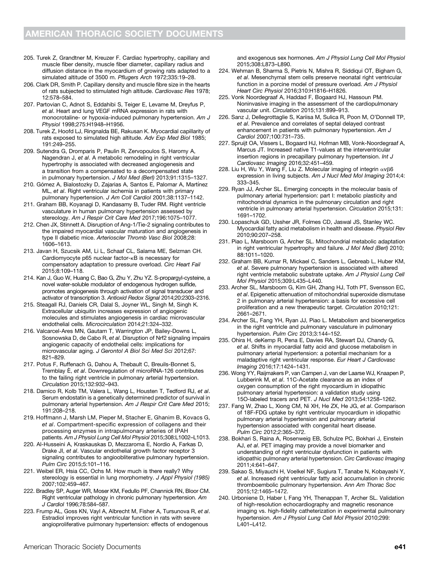- 205. Turek Z, Grandtner M, Kreuzer F. Cardiac hypertrophy, capillary and muscle fiber density, muscle fiber diameter, capillary radius and diffusion distance in the myocardium of growing rats adapted to a simulated altitude of 3500 m. Pflugers Arch 1972;335:19–28.
- 206. Clark DR, Smith P. Capillary density and muscle fibre size in the hearts of rats subjected to stimulated high altitude. Cardiovasc Res 1978; 12:578–584.
- 207. Partovian C, Adnot S, Eddahibi S, Teiger E, Levame M, Dreyfus P, et al. Heart and lung VEGF mRNA expression in rats with monocrotaline- or hypoxia-induced pulmonary hypertension. Am J Physiol 1998;275:H1948–H1956.
- 208. Turek Z, Hoofd LJ, Ringnalda BE, Rakusan K. Myocardial capillarity of rats exposed to simulated high altitude. Adv Exp Med Biol 1985; 191:249–255.
- 209. Sutendra G, Dromparis P, Paulin R, Zervopoulos S, Haromy A, Nagendran J, et al. A metabolic remodeling in right ventricular hypertrophy is associated with decreased angiogenesis and a transition from a compensated to a decompensated state in pulmonary hypertension. J Mol Med (Berl) 2013;91:1315-1327.
- 210. Gómez A, Bialostozky D, Zajarias A, Santos E, Palomar A, Martínez ML, et al. Right ventricular ischemia in patients with primary pulmonary hypertension. J Am Coll Cardiol 2001;38:1137–1142.
- 211. Graham BB, Koyanagi D, Kandasamy B, Tuder RM. Right ventricle vasculature in human pulmonary hypertension assessed by stereology. Am J Respir Crit Care Med 2017;196:1075–1077.
- 212. Chen JX, Stinnett A. Disruption of Ang-1/Tie-2 signaling contributes to the impaired myocardial vascular maturation and angiogenesis in type II diabetic mice. Arterioscler Thromb Vasc Biol 2008;28: 1606–1613.
- 213. Javan H, Szucsik AM, Li L, Schaaf CL, Salama ME, Selzman CH. Cardiomyocyte p65 nuclear factor-kB is necessary for compensatory adaptation to pressure overload. Circ Heart Fail 2015;8:109–118.
- 214. Kan J, Guo W, Huang C, Bao G, Zhu Y, Zhu YZ. S-propargyl-cysteine, a novel water-soluble modulator of endogenous hydrogen sulfide, promotes angiogenesis through activation of signal transducer and activator of transcription 3. Antioxid Redox Signal 2014;20:2303–2316.
- 215. Steagall RJ, Daniels CR, Dalal S, Joyner WL, Singh M, Singh K. Extracellular ubiquitin increases expression of angiogenic molecules and stimulates angiogenesis in cardiac microvascular endothelial cells. Microcirculation 2014;21:324–332.
- 216. Valcarcel-Ares MN, Gautam T, Warrington JP, Bailey-Downs L, Sosnowska D, de Cabo R, et al. Disruption of Nrf2 signaling impairs angiogenic capacity of endothelial cells: implications for microvascular aging. J Gerontol A Biol Sci Med Sci 2012;67: 821–829.
- 217. Potus F, Ruffenach G, Dahou A, Thebault C, Breuils-Bonnet S, Tremblay È, et al. Downregulation of microRNA-126 contributes to the failing right ventricle in pulmonary arterial hypertension. Circulation 2015;132:932–943.
- 218. Damico R, Kolb TM, Valera L, Wang L, Housten T, Tedford RJ, et al. Serum endostatin is a genetically determined predictor of survival in pulmonary arterial hypertension. Am J Respir Crit Care Med 2015; 191:208–218.
- 219. Hoffmann J, Marsh LM, Pieper M, Stacher E, Ghanim B, Kovacs G, et al. Compartment-specific expression of collagens and their processing enzymes in intrapulmonary arteries of IPAH patients. Am J Physiol Lung Cell Mol Physiol 2015;308:L1002–L1013.
- 220. Al-Husseini A, Kraskauskas D, Mezzaroma E, Nordio A, Farkas D, Drake JI, et al. Vascular endothelial growth factor receptor 3 signaling contributes to angioobliterative pulmonary hypertension. Pulm Circ 2015;5:101–116.
- 221. Weibel ER, Hsia CC, Ochs M. How much is there really? Why stereology is essential in lung morphometry. J Appl Physiol (1985) 2007;102:459–467.
- 222. Bradley SP, Auger WR, Moser KM, Fedullo PF, Channick RN, Bloor CM. Right ventricular pathology in chronic pulmonary hypertension. Am J Cardiol 1996;78:584–587.
- 223. Frump AL, Goss KN, Vayl A, Albrecht M, Fisher A, Tursunova R, et al. Estradiol improves right ventricular function in rats with severe angioproliferative pulmonary hypertension: effects of endogenous

and exogenous sex hormones. Am J Physiol Lung Cell Mol Physiol 2015;308:L873–L890.

- 224. Wehman B, Sharma S, Pietris N, Mishra R, Siddiqui OT, Bigham G, et al. Mesenchymal stem cells preserve neonatal right ventricular function in a porcine model of pressure overload. Am J Physiol Heart Circ Physiol 2016;310:H1816–H1826.
- 225. Vonk Noordegraaf A, Haddad F, Bogaard HJ, Hassoun PM. Noninvasive imaging in the assessment of the cardiopulmonary vascular unit. Circulation 2015;131:899–913.
- 226. Sanz J, Dellegrottaglie S, Kariisa M, Sulica R, Poon M, O'Donnell TP, et al. Prevalence and correlates of septal delayed contrast enhancement in patients with pulmonary hypertension. Am J Cardiol 2007;100:731–735.
- 227. Spruijt OA, Vissers L, Bogaard HJ, Hofman MB, Vonk-Noordegraaf A, Marcus JT. Increased native T1-values at the interventricular insertion regions in precapillary pulmonary hypertension. Int J Cardiovasc Imaging 2016;32:451–459.
- 228. Liu H, Wu Y, Wang F, Liu Z. Molecular imaging of integrin  $\alpha$ v $\beta$ 6 expression in living subjects. Am J Nucl Med Mol Imaging 2014;4: 333–345.
- 229. Ryan JJ, Archer SL. Emerging concepts in the molecular basis of pulmonary arterial hypertension: part I: metabolic plasticity and mitochondrial dynamics in the pulmonary circulation and right ventricle in pulmonary arterial hypertension. Circulation 2015;131: 1691–1702.
- 230. Lopaschuk GD, Ussher JR, Folmes CD, Jaswal JS, Stanley WC. Myocardial fatty acid metabolism in health and disease. Physiol Rev 2010;90:207–258.
- 231. Piao L, Marsboom G, Archer SL. Mitochondrial metabolic adaptation in right ventricular hypertrophy and failure. J Mol Med (Berl) 2010; 88:1011–1020.
- 232. Graham BB, Kumar R, Mickael C, Sanders L, Gebreab L, Huber KM, et al. Severe pulmonary hypertension is associated with altered right ventricle metabolic substrate uptake. Am J Physiol Lung Cell Mol Physiol 2015;309:L435–L440.
- 233. Archer SL, Marsboom G, Kim GH, Zhang HJ, Toth PT, Svensson EC, et al. Epigenetic attenuation of mitochondrial superoxide dismutase 2 in pulmonary arterial hypertension: a basis for excessive cell proliferation and a new therapeutic target. Circulation 2010;121: 2661–2671.
- 234. Archer SL, Fang YH, Ryan JJ, Piao L. Metabolism and bioenergetics in the right ventricle and pulmonary vasculature in pulmonary hypertension. Pulm Circ 2013;3:144–152.
- 235. Ohira H, deKemp R, Pena E, Davies RA, Stewart DJ, Chandy G, et al. Shifts in myocardial fatty acid and glucose metabolism in pulmonary arterial hypertension: a potential mechanism for a maladaptive right ventricular response. Eur Heart J Cardiovasc Imaging 2016;17:1424–1431.
- 236. Wong YY, Raijmakers P, van Campen J, van der Laarse WJ, Knaapen P, Lubberink M, et al. 11C-Acetate clearance as an index of oxygen consumption of the right myocardium in idiopathic pulmonary arterial hypertension: a validation study using 15O-labeled tracers and PET. J Nucl Med 2013;54:1258–1262.
- 237. Fang W, Zhao L, Xiong CM, Ni XH, He ZX, He JG, et al. Comparison of 18F-FDG uptake by right ventricular myocardium in idiopathic pulmonary arterial hypertension and pulmonary arterial hypertension associated with congenital heart disease. Pulm Circ 2012;2:365–372.
- 238. Bokhari S, Raina A, Rosenweig EB, Schulze PC, Bokhari J, Einstein AJ, et al. PET imaging may provide a novel biomarker and understanding of right ventricular dysfunction in patients with idiopathic pulmonary arterial hypertension. Circ Cardiovasc Imaging 2011;4:641–647.
- 239. Sakao S, Miyauchi H, Voelkel NF, Sugiura T, Tanabe N, Kobayashi Y, et al. Increased right ventricular fatty acid accumulation in chronic thromboembolic pulmonary hypertension. Ann Am Thorac Soc 2015;12:1465–1472.
- 240. Urboniene D, Haber I, Fang YH, Thenappan T, Archer SL. Validation of high-resolution echocardiography and magnetic resonance imaging vs. high-fidelity catheterization in experimental pulmonary hypertension. Am J Physiol Lung Cell Mol Physiol 2010;299: L401–L412.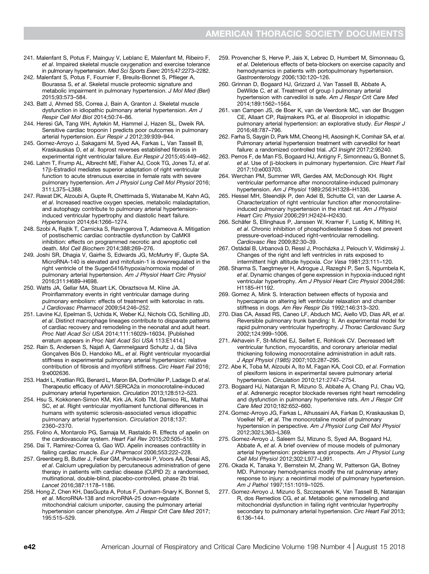- 241. Malenfant S, Potus F, Mainguy V, Leblanc E, Malenfant M, Ribeiro F, et al. Impaired skeletal muscle oxygenation and exercise tolerance in pulmonary hypertension. Med Sci Sports Exerc 2015:47:2273-2282.
- 242. Malenfant S, Potus F, Fournier F, Breuils-Bonnet S, Pflieger A, Bourassa S, et al. Skeletal muscle proteomic signature and metabolic impairment in pulmonary hypertension. J Mol Med (Berl) 2015;93:573–584.
- 243. Batt J, Ahmed SS, Correa J, Bain A, Granton J. Skeletal muscle dysfunction in idiopathic pulmonary arterial hypertension. Am J Respir Cell Mol Biol 2014;50:74–86.
- 244. Heresi GA, Tang WH, Aytekin M, Hammel J, Hazen SL, Dweik RA. Sensitive cardiac troponin I predicts poor outcomes in pulmonary arterial hypertension. Eur Respir J 2012;39:939–944.
- 245. Gomez-Arroyo J, Sakagami M, Syed AA, Farkas L, Van Tassell B, Kraskauskas D, et al. Iloprost reverses established fibrosis in experimental right ventricular failure. Eur Respir J 2015;45:449–462.
- 246. Lahm T, Frump AL, Albrecht ME, Fisher AJ, Cook TG, Jones TJ, et al. 17b-Estradiol mediates superior adaptation of right ventricular function to acute strenuous exercise in female rats with severe pulmonary hypertension. Am J Physiol Lung Cell Mol Physiol 2016; 311:L375–L388.
- 247. Rawat DK, Alzoubi A, Gupte R, Chettimada S, Watanabe M, Kahn AG, et al. Increased reactive oxygen species, metabolic maladaptation, and autophagy contribute to pulmonary arterial hypertensioninduced ventricular hypertrophy and diastolic heart failure. Hypertension 2014;64:1266–1274.
- 248. Szobi A, Rajtik T, Carnicka S, Ravingerova T, Adameova A. Mitigation of postischemic cardiac contractile dysfunction by CaMKII inhibition: effects on programmed necrotic and apoptotic cell death. Mol Cell Biochem 2014;388:269–276.
- 249. Joshi SR, Dhagia V, Gairhe S, Edwards JG, McMurtry IF, Gupte SA. MicroRNA-140 is elevated and mitofusin-1 is downregulated in the right ventricle of the Sugen5416/hypoxia/normoxia model of pulmonary arterial hypertension. Am J Physiol Heart Circ Physiol 2016;311:H689–H698.
- 250. Watts JA, Gellar MA, Stuart LK, Obraztsova M, Kline JA. Proinflammatory events in right ventricular damage during pulmonary embolism: effects of treatment with ketorolac in rats. J Cardiovasc Pharmacol 2009;54:246–252.
- 251. Lavine KJ, Epelman S, Uchida K, Weber KJ, Nichols CG, Schilling JD, et al. Distinct macrophage lineages contribute to disparate patterns of cardiac recovery and remodeling in the neonatal and adult heart. Proc Natl Acad Sci USA 2014;111:16029–16034. [Published erratum appears in Proc Natl Acad Sci USA 113:E1414.]
- 252. Rain S, Andersen S, Najafi A, Gammelgaard Schultz J, da Silva Gonçalves Bós D, Handoko ML, et al. Right ventricular myocardial stiffness in experimental pulmonary arterial hypertension: relative contribution of fibrosis and myofibril stiffness. Circ Heart Fail 2016; 9:e002636.
- 253. Hadri L, Kratlian RG, Benard L, Maron BA, Dorfmüller P, Ladage D, et al. Therapeutic efficacy of AAV1.SERCA2a in monocrotaline-induced pulmonary arterial hypertension. Circulation 2013;128:512–523.
- 254. Hsu S, Kokkonen-Simon KM, Kirk JA, Kolb TM, Damico RL, Mathai SC, et al. Right ventricular myofilament functional differences in humans with systemic sclerosis-associated versus idiopathic pulmonary arterial hypertension. Circulation 2018;137: 2360–2370.
- 255. Folino A, Montarolo PG, Samaja M, Rastaldo R. Effects of apelin on the cardiovascular system. Heart Fail Rev 2015;20:505–518.
- 256. Dai T, Ramirez-Correa G, Gao WD. Apelin increases contractility in failing cardiac muscle. Eur J Pharmacol 2006;553:222–228.
- 257. Greenberg B, Butler J, Felker GM, Ponikowski P, Voors AA, Desai AS, et al. Calcium upregulation by percutaneous administration of gene therapy in patients with cardiac disease (CUPID 2): a randomised, multinational, double-blind, placebo-controlled, phase 2b trial. Lancet 2016;387:1178–1186.
- 258. Hong Z, Chen KH, DasGupta A, Potus F, Dunham-Snary K, Bonnet S, et al. MicroRNA-138 and microRNA-25 down-regulate mitochondrial calcium uniporter, causing the pulmonary arterial hypertension cancer phenotype. Am J Respir Crit Care Med 2017; 195:515–529.
- 259. Provencher S, Herve P, Jais X, Lebrec D, Humbert M, Simonneau G, et al. Deleterious effects of beta-blockers on exercise capacity and hemodynamics in patients with portopulmonary hypertension. Gastroenterology 2006;130:120–126.
- 260. Grinnan D, Bogaard HJ, Grizzard J, Van Tassell B, Abbate A, DeWilde C, et al. Treatment of group I pulmonary arterial hypertension with carvedilol is safe. Am J Respir Crit Care Med 2014;189:1562–1564.
- 261. van Campen JS, de Boer K, van de Veerdonk MC, van der Bruggen CE, Allaart CP, Raijmakers PG, et al. Bisoprolol in idiopathic pulmonary arterial hypertension: an explorative study. Eur Respir J 2016;48:787–796.
- 262. Farha S, Saygin D, Park MM, Cheong HI, Asosingh K, Comhair SA, et al. Pulmonary arterial hypertension treatment with carvedilol for heart failure: a randomized controlled trial. JCI Insight 2017;2:95240.
- 263. Perros F, de Man FS, Bogaard HJ, Antigny F, Simonneau G, Bonnet S,  $et$  al. Use of  $\beta$ -blockers in pulmonary hypertension. Circ Heart Fail 2017;10:e003703.
- 264. Werchan PM, Summer WR, Gerdes AM, McDonough KH. Right ventricular performance after monocrotaline-induced pulmonary hypertension. Am J Physiol 1989;256:H1328-H1336.
- 265. Hessel MH, Steendijk P, den Adel B, Schutte CI, van der Laarse A. Characterization of right ventricular function after monocrotalineinduced pulmonary hypertension in the intact rat. Am J Physiol Heart Circ Physiol 2006;291:H2424–H2430.
- 266. Schäfer S, Ellinghaus P, Janssen W, Kramer F, Lustig K, Milting H, et al. Chronic inhibition of phosphodiesterase 5 does not prevent pressure-overload-induced right-ventricular remodelling. Cardiovasc Res 2009;82:30–39.
- 267. Ostádal B, Urbanová D, Ressl J, Procházka J, Pelouch V, Widimský J. Changes of the right and left ventricles in rats exposed to intermittent high altitude hypoxia. Cor Vasa 1981;23:111–120.
- 268. Sharma S, Taegtmeyer H, Adrogue J, Razeghi P, Sen S, Ngumbela K, et al. Dynamic changes of gene expression in hypoxia-induced right ventricular hypertrophy. Am J Physiol Heart Circ Physiol 2004;286: H1185–H1192.
- 269. Gomez A, Mink S. Interaction between effects of hypoxia and hypercapnia on altering left ventricular relaxation and chamber stiffness in dogs. Am Rev Respir Dis 1992;146:313–320.
- 270. Dias CA, Assad RS, Caneo LF, Abduch MC, Aiello VD, Dias AR, et al. Reversible pulmonary trunk banding: II. An experimental model for rapid pulmonary ventricular hypertrophy. J Thorac Cardiovasc Surg 2002;124:999–1006.
- 271. Akhavein F, St-Michel EJ, Seifert E, Rohlicek CV. Decreased left ventricular function, myocarditis, and coronary arteriolar medial thickening following monocrotaline administration in adult rats. J Appl Physiol (1985) 2007;103:287–295.
- 272. Abe K, Toba M, Alzoubi A, Ito M, Fagan KA, Cool CD, et al. Formation of plexiform lesions in experimental severe pulmonary arterial hypertension. Circulation 2010;121:2747–2754.
- 273. Bogaard HJ, Natarajan R, Mizuno S, Abbate A, Chang PJ, Chau VQ, et al. Adrenergic receptor blockade reverses right heart remodeling and dysfunction in pulmonary hypertensive rats. Am J Respir Crit Care Med 2010;182:652–660.
- 274. Gomez-Arroyo JG, Farkas L, Alhussaini AA, Farkas D, Kraskauskas D, Voelkel NF, et al. The monocrotaline model of pulmonary hypertension in perspective. Am J Physiol Lung Cell Mol Physiol 2012;302:L363–L369.
- 275. Gomez-Arroyo J, Saleem SJ, Mizuno S, Syed AA, Bogaard HJ, Abbate A, et al. A brief overview of mouse models of pulmonary arterial hypertension: problems and prospects. Am J Physiol Lung Cell Mol Physiol 2012;302:L977–L991.
- 276. Okada K, Tanaka Y, Bernstein M, Zhang W, Patterson GA, Botney MD. Pulmonary hemodynamics modify the rat pulmonary artery response to injury: a neointimal model of pulmonary hypertension. Am J Pathol 1997;151:1019–1025.
- 277. Gomez-Arroyo J, Mizuno S, Szczepanek K, Van Tassell B, Natarajan R, dos Remedios CG, et al. Metabolic gene remodeling and mitochondrial dysfunction in failing right ventricular hypertrophy secondary to pulmonary arterial hypertension. Circ Heart Fail 2013; 6:136–144.